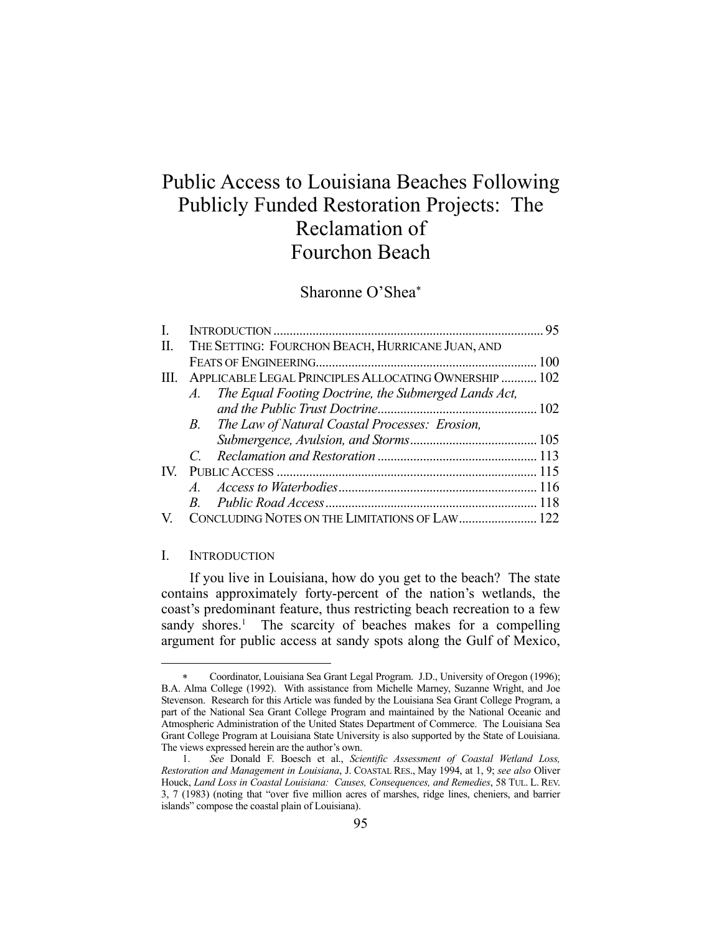# Public Access to Louisiana Beaches Following Publicly Funded Restoration Projects: The Reclamation of Fourchon Beach

# Sharonne O'Shea

| L.                      |                                                       |                                                      |  |
|-------------------------|-------------------------------------------------------|------------------------------------------------------|--|
| П.                      | THE SETTING: FOURCHON BEACH, HURRICANE JUAN, AND      |                                                      |  |
|                         |                                                       |                                                      |  |
| HL.                     | APPLICABLE LEGAL PRINCIPLES ALLOCATING OWNERSHIP  102 |                                                      |  |
|                         | A.                                                    | The Equal Footing Doctrine, the Submerged Lands Act, |  |
|                         |                                                       |                                                      |  |
|                         |                                                       | B. The Law of Natural Coastal Processes: Erosion,    |  |
|                         |                                                       |                                                      |  |
|                         |                                                       |                                                      |  |
| $\mathbf{I} \mathbf{V}$ |                                                       |                                                      |  |
|                         |                                                       |                                                      |  |
|                         | $\overline{B}$                                        |                                                      |  |
| V.                      |                                                       | CONCLUDING NOTES ON THE LIMITATIONS OF LAW 122       |  |

#### I. INTRODUCTION

1

 If you live in Louisiana, how do you get to the beach? The state contains approximately forty-percent of the nation's wetlands, the coast's predominant feature, thus restricting beach recreation to a few sandy shores.<sup>1</sup> The scarcity of beaches makes for a compelling argument for public access at sandy spots along the Gulf of Mexico,

Coordinator, Louisiana Sea Grant Legal Program. J.D., University of Oregon (1996); B.A. Alma College (1992). With assistance from Michelle Marney, Suzanne Wright, and Joe Stevenson. Research for this Article was funded by the Louisiana Sea Grant College Program, a part of the National Sea Grant College Program and maintained by the National Oceanic and Atmospheric Administration of the United States Department of Commerce. The Louisiana Sea Grant College Program at Louisiana State University is also supported by the State of Louisiana. The views expressed herein are the author's own.

 <sup>1.</sup> *See* Donald F. Boesch et al., *Scientific Assessment of Coastal Wetland Loss, Restoration and Management in Louisiana*, J. COASTAL RES., May 1994, at 1, 9; *see also* Oliver Houck, *Land Loss in Coastal Louisiana: Causes, Consequences, and Remedies*, 58 TUL. L. REV. 3, 7 (1983) (noting that "over five million acres of marshes, ridge lines, cheniers, and barrier islands" compose the coastal plain of Louisiana).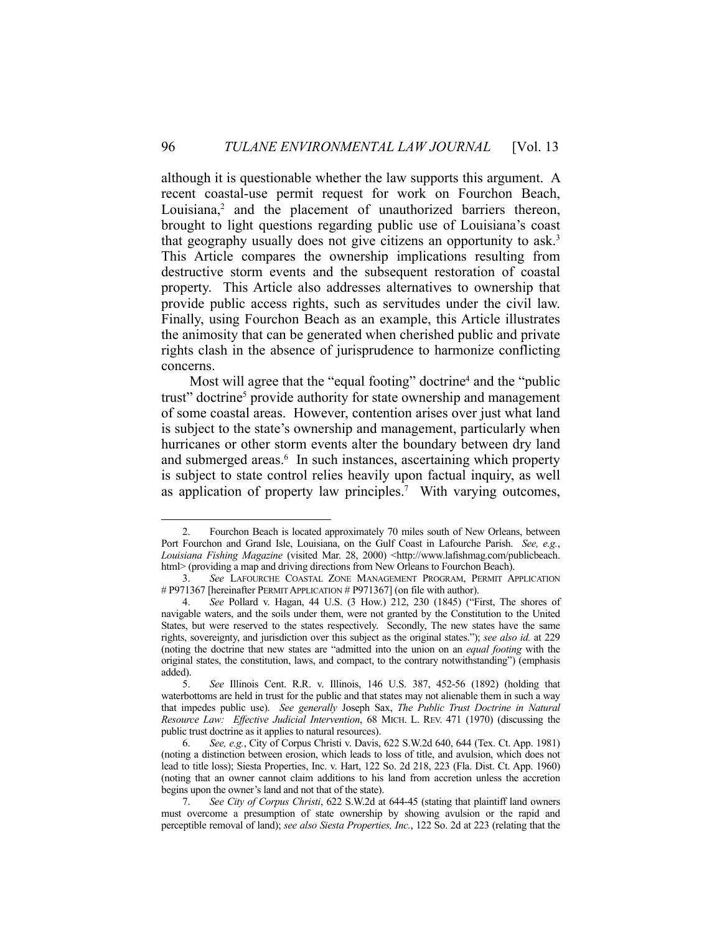although it is questionable whether the law supports this argument. A recent coastal-use permit request for work on Fourchon Beach, Louisiana,<sup>2</sup> and the placement of unauthorized barriers thereon, brought to light questions regarding public use of Louisiana's coast that geography usually does not give citizens an opportunity to ask.3 This Article compares the ownership implications resulting from destructive storm events and the subsequent restoration of coastal property. This Article also addresses alternatives to ownership that provide public access rights, such as servitudes under the civil law. Finally, using Fourchon Beach as an example, this Article illustrates the animosity that can be generated when cherished public and private rights clash in the absence of jurisprudence to harmonize conflicting concerns.

Most will agree that the "equal footing" doctrine<sup>4</sup> and the "public trust" doctrine<sup>5</sup> provide authority for state ownership and management of some coastal areas. However, contention arises over just what land is subject to the state's ownership and management, particularly when hurricanes or other storm events alter the boundary between dry land and submerged areas.<sup>6</sup> In such instances, ascertaining which property is subject to state control relies heavily upon factual inquiry, as well as application of property law principles.<sup>7</sup> With varying outcomes,

 <sup>2.</sup> Fourchon Beach is located approximately 70 miles south of New Orleans, between Port Fourchon and Grand Isle, Louisiana, on the Gulf Coast in Lafourche Parish. *See, e.g.*, *Louisiana Fishing Magazine* (visited Mar. 28, 2000) <http://www.lafishmag.com/publicbeach. html> (providing a map and driving directions from New Orleans to Fourchon Beach).

 <sup>3.</sup> *See* LAFOURCHE COASTAL ZONE MANAGEMENT PROGRAM, PERMIT APPLICATION # P971367 [hereinafter PERMIT APPLICATION # P971367] (on file with author).

 <sup>4.</sup> *See* Pollard v. Hagan, 44 U.S. (3 How.) 212, 230 (1845) ("First, The shores of navigable waters, and the soils under them, were not granted by the Constitution to the United States, but were reserved to the states respectively. Secondly, The new states have the same rights, sovereignty, and jurisdiction over this subject as the original states."); *see also id.* at 229 (noting the doctrine that new states are "admitted into the union on an *equal footing* with the original states, the constitution, laws, and compact, to the contrary notwithstanding") (emphasis added).

 <sup>5.</sup> *See* Illinois Cent. R.R. v. Illinois, 146 U.S. 387, 452-56 (1892) (holding that waterbottoms are held in trust for the public and that states may not alienable them in such a way that impedes public use). *See generally* Joseph Sax, *The Public Trust Doctrine in Natural Resource Law: Effective Judicial Intervention*, 68 MICH. L. REV. 471 (1970) (discussing the public trust doctrine as it applies to natural resources).

 <sup>6.</sup> *See, e.g.*, City of Corpus Christi v. Davis, 622 S.W.2d 640, 644 (Tex. Ct. App. 1981) (noting a distinction between erosion, which leads to loss of title, and avulsion, which does not lead to title loss); Siesta Properties, Inc. v. Hart, 122 So. 2d 218, 223 (Fla. Dist. Ct. App. 1960) (noting that an owner cannot claim additions to his land from accretion unless the accretion begins upon the owner's land and not that of the state).

 <sup>7.</sup> *See City of Corpus Christi*, 622 S.W.2d at 644-45 (stating that plaintiff land owners must overcome a presumption of state ownership by showing avulsion or the rapid and perceptible removal of land); *see also Siesta Properties, Inc.*, 122 So. 2d at 223 (relating that the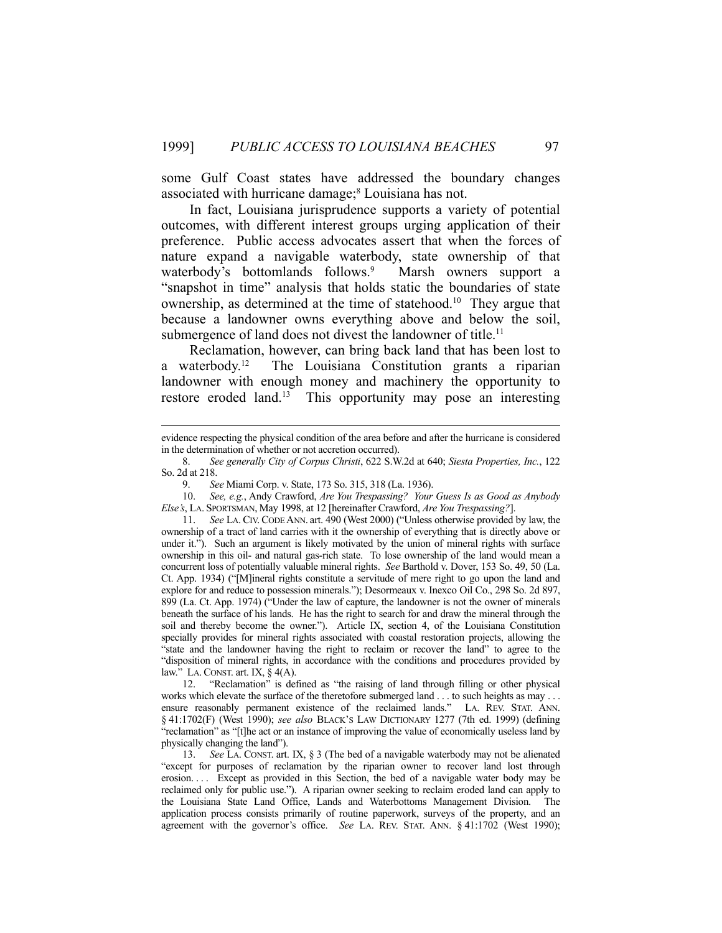some Gulf Coast states have addressed the boundary changes associated with hurricane damage;<sup>8</sup> Louisiana has not.

 In fact, Louisiana jurisprudence supports a variety of potential outcomes, with different interest groups urging application of their preference. Public access advocates assert that when the forces of nature expand a navigable waterbody, state ownership of that waterbody's bottomlands follows.<sup>9</sup> Marsh owners support a "snapshot in time" analysis that holds static the boundaries of state ownership, as determined at the time of statehood.<sup>10</sup> They argue that because a landowner owns everything above and below the soil, submergence of land does not divest the landowner of title.<sup>11</sup>

 Reclamation, however, can bring back land that has been lost to a waterbody.12 The Louisiana Constitution grants a riparian landowner with enough money and machinery the opportunity to restore eroded land.<sup>13</sup> This opportunity may pose an interesting

 10. *See, e.g.*, Andy Crawford, *Are You Trespassing? Your Guess Is as Good as Anybody Else's*, LA. SPORTSMAN, May 1998, at 12 [hereinafter Crawford, *Are You Trespassing?*].

 11. *See* LA. CIV. CODE ANN. art. 490 (West 2000) ("Unless otherwise provided by law, the ownership of a tract of land carries with it the ownership of everything that is directly above or under it."). Such an argument is likely motivated by the union of mineral rights with surface ownership in this oil- and natural gas-rich state. To lose ownership of the land would mean a concurrent loss of potentially valuable mineral rights. *See* Barthold v. Dover, 153 So. 49, 50 (La. Ct. App. 1934) ("[M]ineral rights constitute a servitude of mere right to go upon the land and explore for and reduce to possession minerals."); Desormeaux v. Inexco Oil Co., 298 So. 2d 897, 899 (La. Ct. App. 1974) ("Under the law of capture, the landowner is not the owner of minerals beneath the surface of his lands. He has the right to search for and draw the mineral through the soil and thereby become the owner."). Article IX, section 4, of the Louisiana Constitution specially provides for mineral rights associated with coastal restoration projects, allowing the "state and the landowner having the right to reclaim or recover the land" to agree to the "disposition of mineral rights, in accordance with the conditions and procedures provided by law." LA. CONST. art. IX,  $\S$  4(A).

 12. "Reclamation" is defined as "the raising of land through filling or other physical works which elevate the surface of the theretofore submerged land . . . to such heights as may . . . ensure reasonably permanent existence of the reclaimed lands." LA. REV. STAT. ANN. § 41:1702(F) (West 1990); *see also* BLACK'S LAW DICTIONARY 1277 (7th ed. 1999) (defining "reclamation" as "[t]he act or an instance of improving the value of economically useless land by physically changing the land").

 13. *See* LA. CONST. art. IX, § 3 (The bed of a navigable waterbody may not be alienated "except for purposes of reclamation by the riparian owner to recover land lost through erosion. . . . Except as provided in this Section, the bed of a navigable water body may be reclaimed only for public use."). A riparian owner seeking to reclaim eroded land can apply to the Louisiana State Land Office, Lands and Waterbottoms Management Division. The application process consists primarily of routine paperwork, surveys of the property, and an agreement with the governor's office. *See* LA. REV. STAT. ANN. § 41:1702 (West 1990);

evidence respecting the physical condition of the area before and after the hurricane is considered in the determination of whether or not accretion occurred).

 <sup>8.</sup> *See generally City of Corpus Christi*, 622 S.W.2d at 640; *Siesta Properties, Inc.*, 122 So. 2d at 218.

 <sup>9.</sup> *See* Miami Corp. v. State, 173 So. 315, 318 (La. 1936).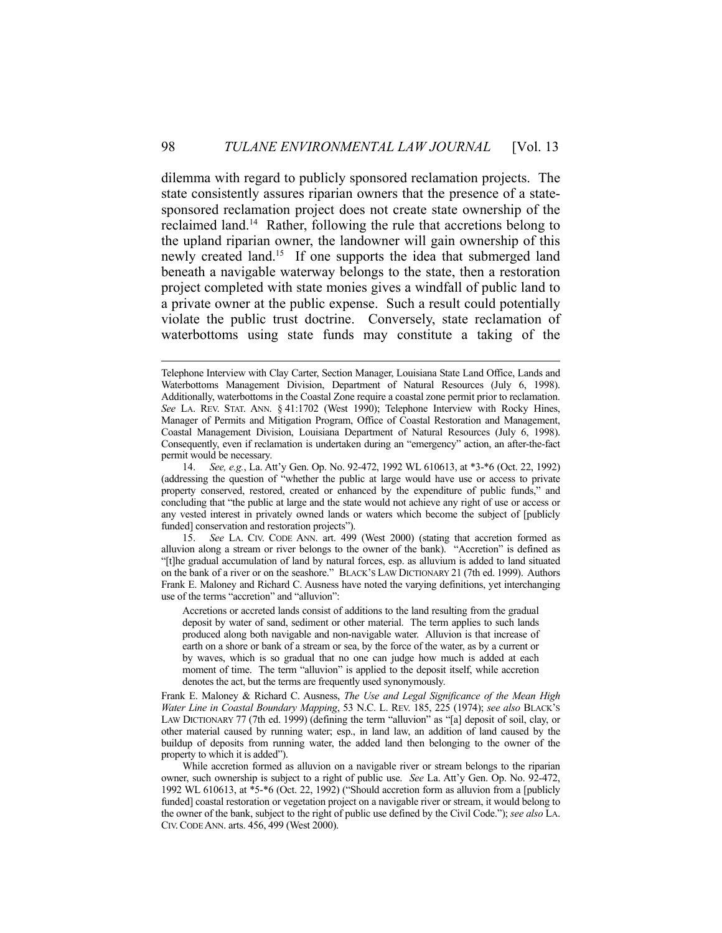dilemma with regard to publicly sponsored reclamation projects. The state consistently assures riparian owners that the presence of a statesponsored reclamation project does not create state ownership of the reclaimed land.<sup>14</sup> Rather, following the rule that accretions belong to the upland riparian owner, the landowner will gain ownership of this newly created land.<sup>15</sup> If one supports the idea that submerged land beneath a navigable waterway belongs to the state, then a restoration project completed with state monies gives a windfall of public land to a private owner at the public expense. Such a result could potentially violate the public trust doctrine. Conversely, state reclamation of waterbottoms using state funds may constitute a taking of the

 15. *See* LA. CIV. CODE ANN. art. 499 (West 2000) (stating that accretion formed as alluvion along a stream or river belongs to the owner of the bank). "Accretion" is defined as "[t]he gradual accumulation of land by natural forces, esp. as alluvium is added to land situated on the bank of a river or on the seashore." BLACK'S LAW DICTIONARY 21 (7th ed. 1999). Authors Frank E. Maloney and Richard C. Ausness have noted the varying definitions, yet interchanging use of the terms "accretion" and "alluvion":

Accretions or accreted lands consist of additions to the land resulting from the gradual deposit by water of sand, sediment or other material. The term applies to such lands produced along both navigable and non-navigable water. Alluvion is that increase of earth on a shore or bank of a stream or sea, by the force of the water, as by a current or by waves, which is so gradual that no one can judge how much is added at each moment of time. The term "alluvion" is applied to the deposit itself, while accretion denotes the act, but the terms are frequently used synonymously.

Frank E. Maloney & Richard C. Ausness, *The Use and Legal Significance of the Mean High Water Line in Coastal Boundary Mapping*, 53 N.C. L. REV. 185, 225 (1974); *see also* BLACK'S LAW DICTIONARY 77 (7th ed. 1999) (defining the term "alluvion" as "[a] deposit of soil, clay, or other material caused by running water; esp., in land law, an addition of land caused by the buildup of deposits from running water, the added land then belonging to the owner of the property to which it is added").

 While accretion formed as alluvion on a navigable river or stream belongs to the riparian owner, such ownership is subject to a right of public use. *See* La. Att'y Gen. Op. No. 92-472, 1992 WL 610613, at \*5-\*6 (Oct. 22, 1992) ("Should accretion form as alluvion from a [publicly funded] coastal restoration or vegetation project on a navigable river or stream, it would belong to the owner of the bank, subject to the right of public use defined by the Civil Code."); *see also* LA. CIV.CODE ANN. arts. 456, 499 (West 2000).

Telephone Interview with Clay Carter, Section Manager, Louisiana State Land Office, Lands and Waterbottoms Management Division, Department of Natural Resources (July 6, 1998). Additionally, waterbottoms in the Coastal Zone require a coastal zone permit prior to reclamation. *See* LA. REV. STAT. ANN. § 41:1702 (West 1990); Telephone Interview with Rocky Hines, Manager of Permits and Mitigation Program, Office of Coastal Restoration and Management, Coastal Management Division, Louisiana Department of Natural Resources (July 6, 1998). Consequently, even if reclamation is undertaken during an "emergency" action, an after-the-fact permit would be necessary.

 <sup>14.</sup> *See, e.g.*, La. Att'y Gen. Op. No. 92-472, 1992 WL 610613, at \*3-\*6 (Oct. 22, 1992) (addressing the question of "whether the public at large would have use or access to private property conserved, restored, created or enhanced by the expenditure of public funds," and concluding that "the public at large and the state would not achieve any right of use or access or any vested interest in privately owned lands or waters which become the subject of [publicly funded] conservation and restoration projects").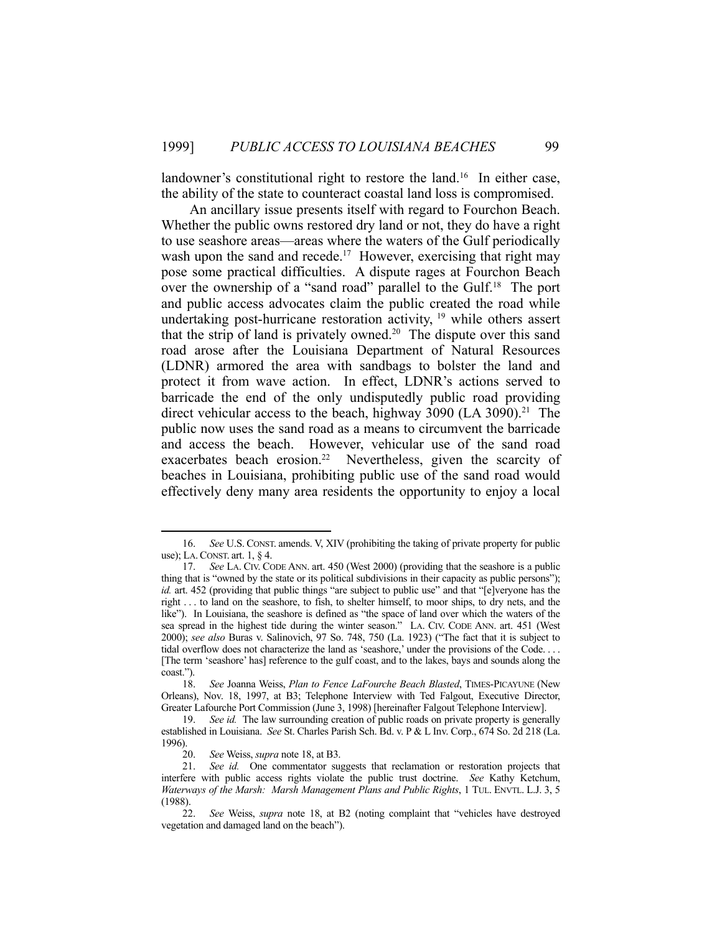landowner's constitutional right to restore the land.<sup>16</sup> In either case, the ability of the state to counteract coastal land loss is compromised.

 An ancillary issue presents itself with regard to Fourchon Beach. Whether the public owns restored dry land or not, they do have a right to use seashore areas—areas where the waters of the Gulf periodically wash upon the sand and recede.<sup>17</sup> However, exercising that right may pose some practical difficulties. A dispute rages at Fourchon Beach over the ownership of a "sand road" parallel to the Gulf.<sup>18</sup> The port and public access advocates claim the public created the road while undertaking post-hurricane restoration activity,  $19$  while others assert that the strip of land is privately owned.<sup>20</sup> The dispute over this sand road arose after the Louisiana Department of Natural Resources (LDNR) armored the area with sandbags to bolster the land and protect it from wave action. In effect, LDNR's actions served to barricade the end of the only undisputedly public road providing direct vehicular access to the beach, highway 3090 (LA 3090).<sup>21</sup> The public now uses the sand road as a means to circumvent the barricade and access the beach. However, vehicular use of the sand road exacerbates beach erosion.<sup>22</sup> Nevertheless, given the scarcity of beaches in Louisiana, prohibiting public use of the sand road would effectively deny many area residents the opportunity to enjoy a local

 <sup>16.</sup> *See* U.S. CONST. amends. V, XIV (prohibiting the taking of private property for public use); LA.CONST. art. 1, § 4.

 <sup>17.</sup> *See* LA. CIV. CODE ANN. art. 450 (West 2000) (providing that the seashore is a public thing that is "owned by the state or its political subdivisions in their capacity as public persons"); *id.* art. 452 (providing that public things "are subject to public use" and that "[e]veryone has the right . . . to land on the seashore, to fish, to shelter himself, to moor ships, to dry nets, and the like"). In Louisiana, the seashore is defined as "the space of land over which the waters of the sea spread in the highest tide during the winter season." LA. CIV. CODE ANN. art. 451 (West 2000); *see also* Buras v. Salinovich, 97 So. 748, 750 (La. 1923) ("The fact that it is subject to tidal overflow does not characterize the land as 'seashore,' under the provisions of the Code. . . . [The term 'seashore' has] reference to the gulf coast, and to the lakes, bays and sounds along the coast.").

 <sup>18.</sup> *See* Joanna Weiss, *Plan to Fence LaFourche Beach Blasted*, TIMES-PICAYUNE (New Orleans), Nov. 18, 1997, at B3; Telephone Interview with Ted Falgout, Executive Director, Greater Lafourche Port Commission (June 3, 1998) [hereinafter Falgout Telephone Interview].

 <sup>19.</sup> *See id.* The law surrounding creation of public roads on private property is generally established in Louisiana. *See* St. Charles Parish Sch. Bd. v. P & L Inv. Corp., 674 So. 2d 218 (La. 1996).

 <sup>20.</sup> *See* Weiss, *supra* note 18, at B3.

 <sup>21.</sup> *See id.* One commentator suggests that reclamation or restoration projects that interfere with public access rights violate the public trust doctrine. *See* Kathy Ketchum, *Waterways of the Marsh: Marsh Management Plans and Public Rights*, 1 TUL. ENVTL. L.J. 3, 5 (1988).

 <sup>22.</sup> *See* Weiss, *supra* note 18, at B2 (noting complaint that "vehicles have destroyed vegetation and damaged land on the beach").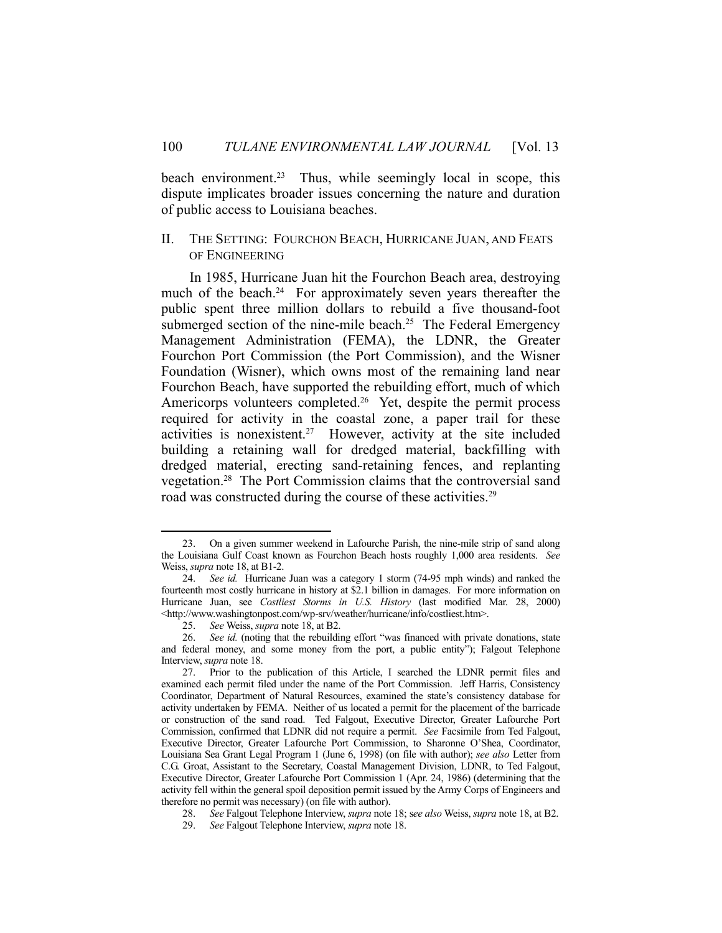beach environment.<sup>23</sup> Thus, while seemingly local in scope, this dispute implicates broader issues concerning the nature and duration of public access to Louisiana beaches.

# II. THE SETTING: FOURCHON BEACH, HURRICANE JUAN, AND FEATS OF ENGINEERING

 In 1985, Hurricane Juan hit the Fourchon Beach area, destroying much of the beach.<sup>24</sup> For approximately seven years thereafter the public spent three million dollars to rebuild a five thousand-foot submerged section of the nine-mile beach.<sup>25</sup> The Federal Emergency Management Administration (FEMA), the LDNR, the Greater Fourchon Port Commission (the Port Commission), and the Wisner Foundation (Wisner), which owns most of the remaining land near Fourchon Beach, have supported the rebuilding effort, much of which Americorps volunteers completed.<sup>26</sup> Yet, despite the permit process required for activity in the coastal zone, a paper trail for these activities is nonexistent.<sup>27</sup> However, activity at the site included building a retaining wall for dredged material, backfilling with dredged material, erecting sand-retaining fences, and replanting vegetation.28 The Port Commission claims that the controversial sand road was constructed during the course of these activities.<sup>29</sup>

 <sup>23.</sup> On a given summer weekend in Lafourche Parish, the nine-mile strip of sand along the Louisiana Gulf Coast known as Fourchon Beach hosts roughly 1,000 area residents. *See* Weiss, *supra* note 18, at B1-2.

 <sup>24.</sup> *See id.* Hurricane Juan was a category 1 storm (74-95 mph winds) and ranked the fourteenth most costly hurricane in history at \$2.1 billion in damages. For more information on Hurricane Juan, see *Costliest Storms in U.S. History* (last modified Mar. 28, 2000) <http://www.washingtonpost.com/wp-srv/weather/hurricane/info/costliest.htm>.

 <sup>25.</sup> *See* Weiss, *supra* note 18, at B2.

 <sup>26.</sup> *See id.* (noting that the rebuilding effort "was financed with private donations, state and federal money, and some money from the port, a public entity"); Falgout Telephone Interview, *supra* note 18.

 <sup>27.</sup> Prior to the publication of this Article, I searched the LDNR permit files and examined each permit filed under the name of the Port Commission. Jeff Harris, Consistency Coordinator, Department of Natural Resources, examined the state's consistency database for activity undertaken by FEMA. Neither of us located a permit for the placement of the barricade or construction of the sand road. Ted Falgout, Executive Director, Greater Lafourche Port Commission, confirmed that LDNR did not require a permit. *See* Facsimile from Ted Falgout, Executive Director, Greater Lafourche Port Commission, to Sharonne O'Shea, Coordinator, Louisiana Sea Grant Legal Program 1 (June 6, 1998) (on file with author); *see also* Letter from C.G. Groat, Assistant to the Secretary, Coastal Management Division, LDNR, to Ted Falgout, Executive Director, Greater Lafourche Port Commission 1 (Apr. 24, 1986) (determining that the activity fell within the general spoil deposition permit issued by the Army Corps of Engineers and therefore no permit was necessary) (on file with author).

 <sup>28.</sup> *See* Falgout Telephone Interview, *supra* note 18; s*ee also* Weiss, *supra* note 18, at B2.

 <sup>29.</sup> *See* Falgout Telephone Interview, *supra* note 18.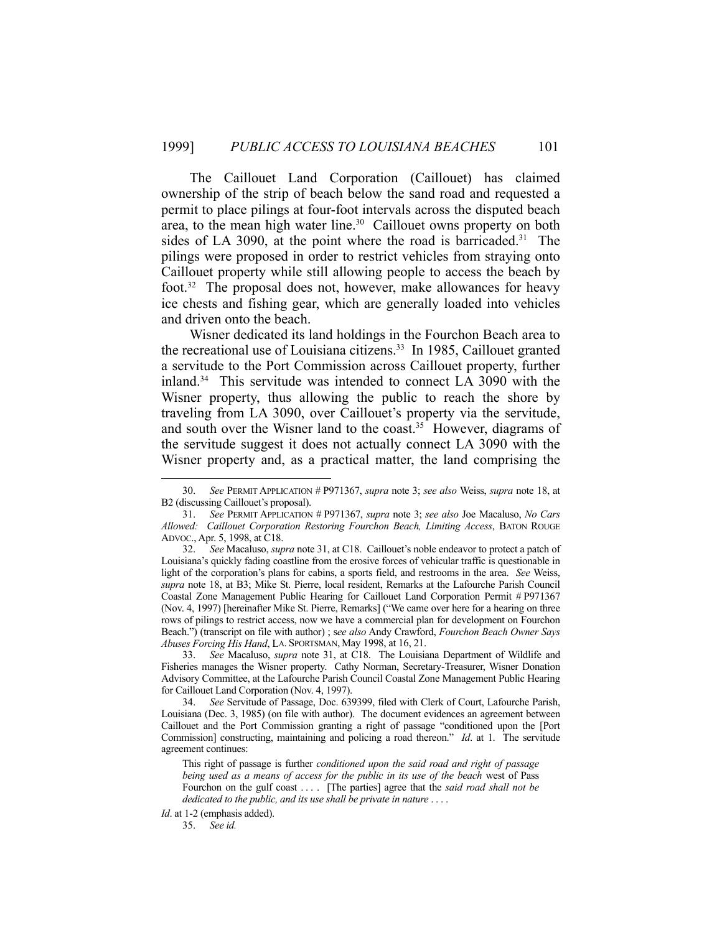The Caillouet Land Corporation (Caillouet) has claimed ownership of the strip of beach below the sand road and requested a permit to place pilings at four-foot intervals across the disputed beach area, to the mean high water line. $30$  Caillouet owns property on both sides of LA 3090, at the point where the road is barricaded.<sup>31</sup> The pilings were proposed in order to restrict vehicles from straying onto Caillouet property while still allowing people to access the beach by foot.<sup>32</sup> The proposal does not, however, make allowances for heavy ice chests and fishing gear, which are generally loaded into vehicles and driven onto the beach.

 Wisner dedicated its land holdings in the Fourchon Beach area to the recreational use of Louisiana citizens.<sup>33</sup> In 1985, Caillouet granted a servitude to the Port Commission across Caillouet property, further inland.34 This servitude was intended to connect LA 3090 with the Wisner property, thus allowing the public to reach the shore by traveling from LA 3090, over Caillouet's property via the servitude, and south over the Wisner land to the coast.<sup>35</sup> However, diagrams of the servitude suggest it does not actually connect LA 3090 with the Wisner property and, as a practical matter, the land comprising the

 <sup>30.</sup> *See* PERMIT APPLICATION # P971367, *supra* note 3; *see also* Weiss, *supra* note 18, at B2 (discussing Caillouet's proposal).

 <sup>31.</sup> *See* PERMIT APPLICATION # P971367, *supra* note 3; *see also* Joe Macaluso, *No Cars Allowed: Caillouet Corporation Restoring Fourchon Beach, Limiting Access*, BATON ROUGE ADVOC., Apr. 5, 1998, at C18.

 <sup>32.</sup> *See* Macaluso, *supra* note 31, at C18. Caillouet's noble endeavor to protect a patch of Louisiana's quickly fading coastline from the erosive forces of vehicular traffic is questionable in light of the corporation's plans for cabins, a sports field, and restrooms in the area. *See* Weiss, *supra* note 18, at B3; Mike St. Pierre, local resident, Remarks at the Lafourche Parish Council Coastal Zone Management Public Hearing for Caillouet Land Corporation Permit # P971367 (Nov. 4, 1997) [hereinafter Mike St. Pierre, Remarks] ("We came over here for a hearing on three rows of pilings to restrict access, now we have a commercial plan for development on Fourchon Beach.") (transcript on file with author) ; s*ee also* Andy Crawford, *Fourchon Beach Owner Says Abuses Forcing His Hand*, LA. SPORTSMAN, May 1998, at 16, 21.

 <sup>33.</sup> *See* Macaluso, *supra* note 31, at C18. The Louisiana Department of Wildlife and Fisheries manages the Wisner property. Cathy Norman, Secretary-Treasurer, Wisner Donation Advisory Committee, at the Lafourche Parish Council Coastal Zone Management Public Hearing for Caillouet Land Corporation (Nov. 4, 1997).

 <sup>34.</sup> *See* Servitude of Passage, Doc. 639399, filed with Clerk of Court, Lafourche Parish, Louisiana (Dec. 3, 1985) (on file with author).The document evidences an agreement between Caillouet and the Port Commission granting a right of passage "conditioned upon the [Port Commission] constructing, maintaining and policing a road thereon." *Id*. at 1. The servitude agreement continues:

This right of passage is further *conditioned upon the said road and right of passage being used as a means of access for the public in its use of the beach* west of Pass Fourchon on the gulf coast . . . . [The parties] agree that the *said road shall not be dedicated to the public, and its use shall be private in nature* . . . .

*Id*. at 1-2 (emphasis added). 35. *See id.*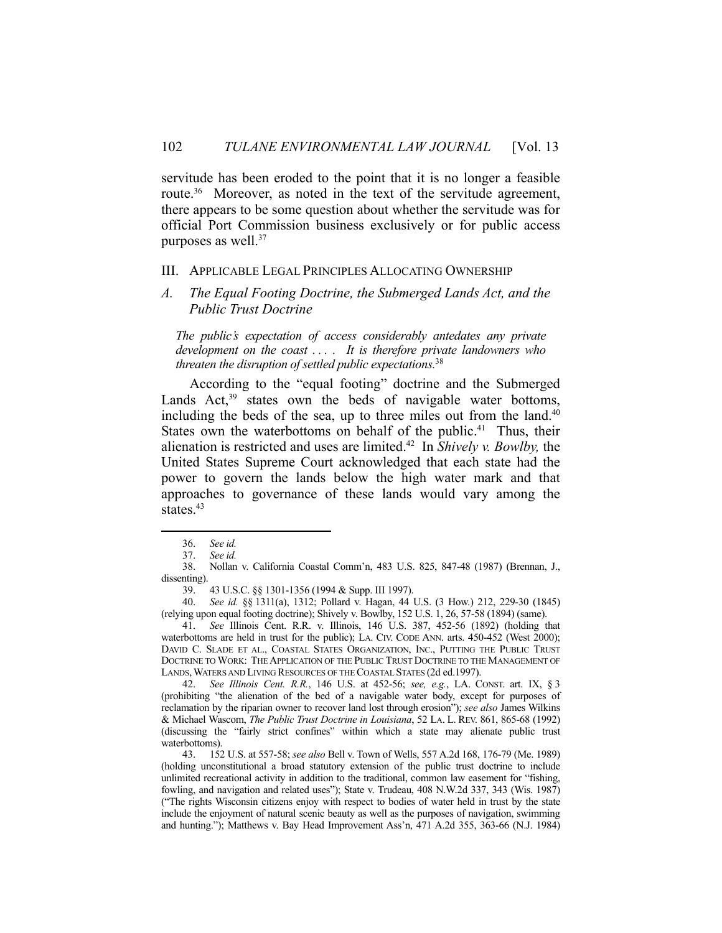servitude has been eroded to the point that it is no longer a feasible route.<sup>36</sup> Moreover, as noted in the text of the servitude agreement, there appears to be some question about whether the servitude was for official Port Commission business exclusively or for public access purposes as well.<sup>37</sup>

#### III. APPLICABLE LEGAL PRINCIPLES ALLOCATING OWNERSHIP

*A. The Equal Footing Doctrine, the Submerged Lands Act, and the Public Trust Doctrine*

*The public's expectation of access considerably antedates any private development on the coast . . . . It is therefore private landowners who threaten the disruption of settled public expectations.*<sup>38</sup>

 According to the "equal footing" doctrine and the Submerged Lands  $Act<sub>39</sub><sup>39</sup> states own the beds of navigable water bottom,$ including the beds of the sea, up to three miles out from the land.<sup>40</sup> States own the waterbottoms on behalf of the public.<sup>41</sup> Thus, their alienation is restricted and uses are limited.42 In *Shively v. Bowlby,* the United States Supreme Court acknowledged that each state had the power to govern the lands below the high water mark and that approaches to governance of these lands would vary among the states.<sup>43</sup>

<u>.</u>

 41. *See* Illinois Cent. R.R. v. Illinois, 146 U.S. 387, 452-56 (1892) (holding that waterbottoms are held in trust for the public); LA. CIV. CODE ANN. arts. 450-452 (West 2000); DAVID C. SLADE ET AL., COASTAL STATES ORGANIZATION, INC., PUTTING THE PUBLIC TRUST DOCTRINE TO WORK: THE APPLICATION OF THE PUBLIC TRUST DOCTRINE TO THE MANAGEMENT OF LANDS, WATERS AND LIVING RESOURCES OF THE COASTAL STATES (2d ed.1997).

 42. *See Illinois Cent. R.R.*, 146 U.S. at 452-56; *see, e.g.*, LA. CONST. art. IX, § 3 (prohibiting "the alienation of the bed of a navigable water body, except for purposes of reclamation by the riparian owner to recover land lost through erosion"); *see also* James Wilkins & Michael Wascom, *The Public Trust Doctrine in Louisiana*, 52 LA. L. REV. 861, 865-68 (1992) (discussing the "fairly strict confines" within which a state may alienate public trust waterbottoms).

 43. 152 U.S. at 557-58; *see also* Bell v. Town of Wells, 557 A.2d 168, 176-79 (Me. 1989) (holding unconstitutional a broad statutory extension of the public trust doctrine to include unlimited recreational activity in addition to the traditional, common law easement for "fishing, fowling, and navigation and related uses"); State v. Trudeau, 408 N.W.2d 337, 343 (Wis. 1987) ("The rights Wisconsin citizens enjoy with respect to bodies of water held in trust by the state include the enjoyment of natural scenic beauty as well as the purposes of navigation, swimming and hunting."); Matthews v. Bay Head Improvement Ass'n, 471 A.2d 355, 363-66 (N.J. 1984)

 <sup>36.</sup> *See id.*

 <sup>37.</sup> *See id.*

 <sup>38.</sup> Nollan v. California Coastal Comm'n, 483 U.S. 825, 847-48 (1987) (Brennan, J., dissenting).

 <sup>39. 43</sup> U.S.C. §§ 1301-1356 (1994 & Supp. III 1997).

 <sup>40.</sup> *See id.* §§ 1311(a), 1312; Pollard v. Hagan, 44 U.S. (3 How.) 212, 229-30 (1845) (relying upon equal footing doctrine); Shively v. Bowlby, 152 U.S. 1, 26, 57-58 (1894) (same).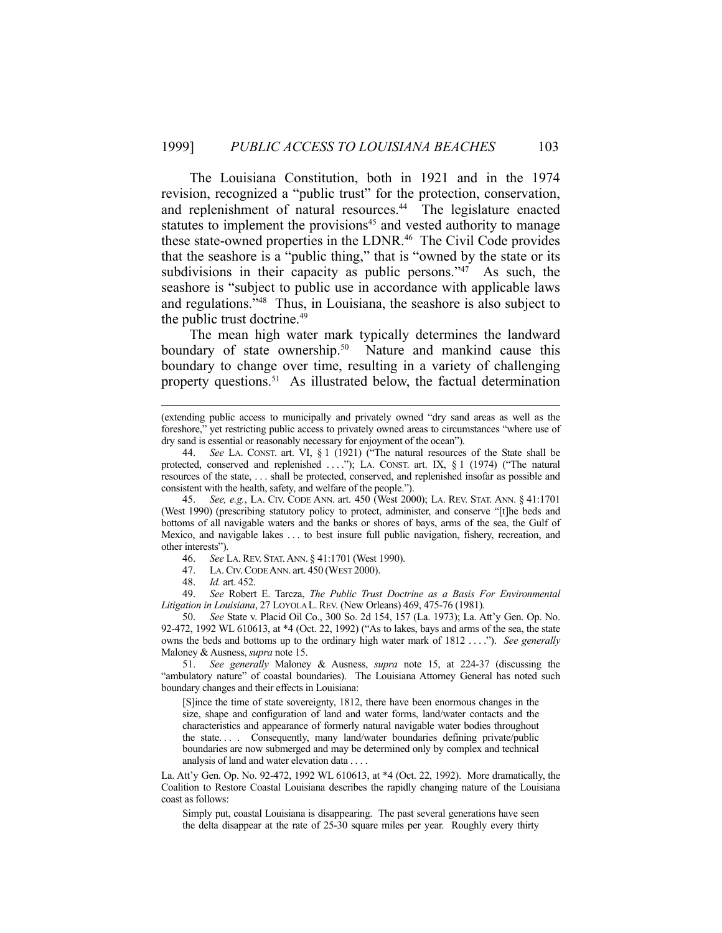The Louisiana Constitution, both in 1921 and in the 1974 revision, recognized a "public trust" for the protection, conservation, and replenishment of natural resources.<sup>44</sup> The legislature enacted statutes to implement the provisions<sup>45</sup> and vested authority to manage these state-owned properties in the LDNR.<sup>46</sup> The Civil Code provides that the seashore is a "public thing," that is "owned by the state or its subdivisions in their capacity as public persons."<sup>47</sup> As such, the seashore is "subject to public use in accordance with applicable laws and regulations."48 Thus, in Louisiana, the seashore is also subject to the public trust doctrine.<sup>49</sup>

 The mean high water mark typically determines the landward boundary of state ownership.<sup>50</sup> Nature and mankind cause this boundary to change over time, resulting in a variety of challenging property questions.<sup>51</sup> As illustrated below, the factual determination

 49. *See* Robert E. Tarcza, *The Public Trust Doctrine as a Basis For Environmental Litigation in Louisiana*, 27 LOYOLA L.REV. (New Orleans) 469, 475-76 (1981).

 51. *See generally* Maloney & Ausness, *supra* note 15, at 224-37 (discussing the "ambulatory nature" of coastal boundaries). The Louisiana Attorney General has noted such boundary changes and their effects in Louisiana:

[S]ince the time of state sovereignty, 1812, there have been enormous changes in the size, shape and configuration of land and water forms, land/water contacts and the characteristics and appearance of formerly natural navigable water bodies throughout the state. . . . Consequently, many land/water boundaries defining private/public boundaries are now submerged and may be determined only by complex and technical analysis of land and water elevation data . . . .

La. Att'y Gen. Op. No. 92-472, 1992 WL 610613, at \*4 (Oct. 22, 1992). More dramatically, the Coalition to Restore Coastal Louisiana describes the rapidly changing nature of the Louisiana coast as follows:

Simply put, coastal Louisiana is disappearing. The past several generations have seen the delta disappear at the rate of 25-30 square miles per year. Roughly every thirty

 <sup>(</sup>extending public access to municipally and privately owned "dry sand areas as well as the foreshore," yet restricting public access to privately owned areas to circumstances "where use of dry sand is essential or reasonably necessary for enjoyment of the ocean").

 <sup>44.</sup> *See* LA. CONST. art. VI, § 1 (1921) ("The natural resources of the State shall be protected, conserved and replenished ...."); LA. CONST. art. IX, § 1 (1974) ("The natural resources of the state, . . . shall be protected, conserved, and replenished insofar as possible and consistent with the health, safety, and welfare of the people.").

 <sup>45.</sup> *See, e.g.*, LA. CIV. CODE ANN. art. 450 (West 2000); LA. REV. STAT. ANN. § 41:1701 (West 1990) (prescribing statutory policy to protect, administer, and conserve "[t]he beds and bottoms of all navigable waters and the banks or shores of bays, arms of the sea, the Gulf of Mexico, and navigable lakes . . . to best insure full public navigation, fishery, recreation, and other interests").

 <sup>46.</sup> *See* LA.REV. STAT.ANN. § 41:1701 (West 1990).

 <sup>47.</sup> LA.CIV.CODE ANN. art. 450 (WEST 2000).

 <sup>48.</sup> *Id.* art. 452.

 <sup>50.</sup> *See* State v. Placid Oil Co., 300 So. 2d 154, 157 (La. 1973); La. Att'y Gen. Op. No. 92-472, 1992 WL 610613, at \*4 (Oct. 22, 1992) ("As to lakes, bays and arms of the sea, the state owns the beds and bottoms up to the ordinary high water mark of 1812 . . . ."). *See generally* Maloney & Ausness, *supra* note 15.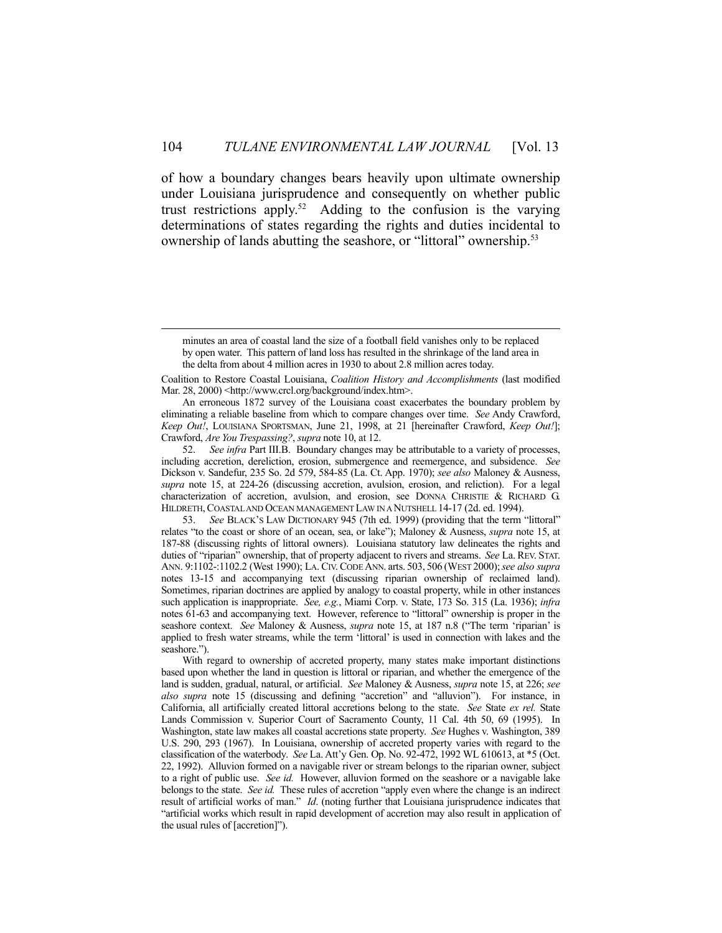of how a boundary changes bears heavily upon ultimate ownership under Louisiana jurisprudence and consequently on whether public trust restrictions apply.52 Adding to the confusion is the varying determinations of states regarding the rights and duties incidental to ownership of lands abutting the seashore, or "littoral" ownership.<sup>53</sup>

Coalition to Restore Coastal Louisiana, *Coalition History and Accomplishments* (last modified Mar. 28, 2000) <http://www.crcl.org/background/index.htm>.

 An erroneous 1872 survey of the Louisiana coast exacerbates the boundary problem by eliminating a reliable baseline from which to compare changes over time. *See* Andy Crawford, *Keep Out!*, LOUISIANA SPORTSMAN, June 21, 1998, at 21 [hereinafter Crawford, *Keep Out!*]; Crawford, *Are You Trespassing?*, *supra* note 10, at 12.

 52. *See infra* Part III.B. Boundary changes may be attributable to a variety of processes, including accretion, dereliction, erosion, submergence and reemergence, and subsidence. *See* Dickson v. Sandefur, 235 So. 2d 579, 584-85 (La. Ct. App. 1970); *see also* Maloney & Ausness, *supra* note 15, at 224-26 (discussing accretion, avulsion, erosion, and reliction). For a legal characterization of accretion, avulsion, and erosion, see DONNA CHRISTIE & RICHARD G. HILDRETH,COASTAL AND OCEAN MANAGEMENT LAW IN A NUTSHELL 14-17 (2d. ed. 1994).

 53. *See* BLACK'S LAW DICTIONARY 945 (7th ed. 1999) (providing that the term "littoral" relates "to the coast or shore of an ocean, sea, or lake"); Maloney & Ausness, *supra* note 15, at 187-88 (discussing rights of littoral owners).Louisiana statutory law delineates the rights and duties of "riparian" ownership, that of property adjacent to rivers and streams. *See* La. REV. STAT. ANN. 9:1102-:1102.2 (West 1990); LA. CIV. CODE ANN. arts. 503, 506 (WEST 2000);*see also supra* notes 13-15 and accompanying text (discussing riparian ownership of reclaimed land). Sometimes, riparian doctrines are applied by analogy to coastal property, while in other instances such application is inappropriate. *See, e.g.*, Miami Corp. v. State, 173 So. 315 (La. 1936); *infra* notes 61-63 and accompanying text. However, reference to "littoral" ownership is proper in the seashore context. *See* Maloney & Ausness, *supra* note 15, at 187 n.8 ("The term 'riparian' is applied to fresh water streams, while the term 'littoral' is used in connection with lakes and the seashore.").

 With regard to ownership of accreted property, many states make important distinctions based upon whether the land in question is littoral or riparian, and whether the emergence of the land is sudden, gradual, natural, or artificial. *See* Maloney & Ausness, *supra* note 15, at 226; *see also supra* note 15 (discussing and defining "accretion" and "alluvion"). For instance, in California, all artificially created littoral accretions belong to the state. *See* State *ex rel.* State Lands Commission v. Superior Court of Sacramento County, 11 Cal. 4th 50, 69 (1995). In Washington, state law makes all coastal accretions state property. *See* Hughes v. Washington, 389 U.S. 290, 293 (1967). In Louisiana, ownership of accreted property varies with regard to the classification of the waterbody. *See* La. Att'y Gen. Op. No. 92-472, 1992 WL 610613, at \*5 (Oct. 22, 1992). Alluvion formed on a navigable river or stream belongs to the riparian owner, subject to a right of public use. *See id.* However, alluvion formed on the seashore or a navigable lake belongs to the state. *See id.* These rules of accretion "apply even where the change is an indirect result of artificial works of man." *Id*. (noting further that Louisiana jurisprudence indicates that "artificial works which result in rapid development of accretion may also result in application of the usual rules of [accretion]").

minutes an area of coastal land the size of a football field vanishes only to be replaced by open water. This pattern of land loss has resulted in the shrinkage of the land area in the delta from about 4 million acres in 1930 to about 2.8 million acres today.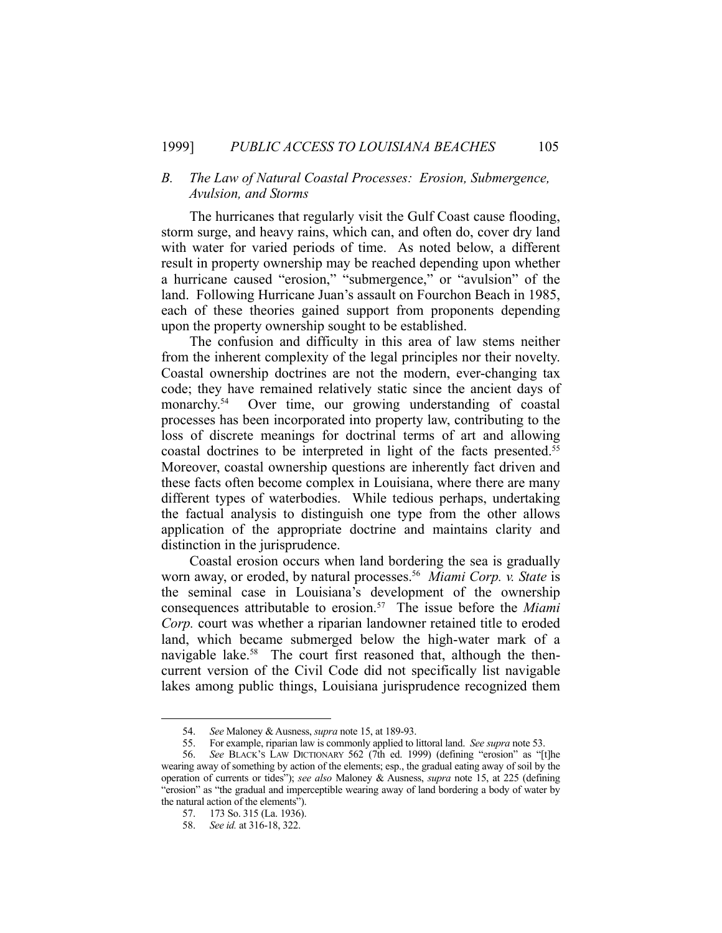# *B. The Law of Natural Coastal Processes: Erosion, Submergence, Avulsion, and Storms*

 The hurricanes that regularly visit the Gulf Coast cause flooding, storm surge, and heavy rains, which can, and often do, cover dry land with water for varied periods of time. As noted below, a different result in property ownership may be reached depending upon whether a hurricane caused "erosion," "submergence," or "avulsion" of the land. Following Hurricane Juan's assault on Fourchon Beach in 1985, each of these theories gained support from proponents depending upon the property ownership sought to be established.

 The confusion and difficulty in this area of law stems neither from the inherent complexity of the legal principles nor their novelty. Coastal ownership doctrines are not the modern, ever-changing tax code; they have remained relatively static since the ancient days of monarchy.<sup>54</sup> Over time, our growing understanding of coastal processes has been incorporated into property law, contributing to the loss of discrete meanings for doctrinal terms of art and allowing coastal doctrines to be interpreted in light of the facts presented.<sup>55</sup> Moreover, coastal ownership questions are inherently fact driven and these facts often become complex in Louisiana, where there are many different types of waterbodies. While tedious perhaps, undertaking the factual analysis to distinguish one type from the other allows application of the appropriate doctrine and maintains clarity and distinction in the jurisprudence.

 Coastal erosion occurs when land bordering the sea is gradually worn away, or eroded, by natural processes.<sup>56</sup> Miami Corp. v. State is the seminal case in Louisiana's development of the ownership consequences attributable to erosion.57 The issue before the *Miami Corp.* court was whether a riparian landowner retained title to eroded land, which became submerged below the high-water mark of a navigable lake.<sup>58</sup> The court first reasoned that, although the thencurrent version of the Civil Code did not specifically list navigable lakes among public things, Louisiana jurisprudence recognized them

 <sup>54.</sup> *See* Maloney & Ausness, *supra* note 15, at 189-93.

 <sup>55.</sup> For example, riparian law is commonly applied to littoral land. *See supra* note 53.

 <sup>56.</sup> *See* BLACK'S LAW DICTIONARY 562 (7th ed. 1999) (defining "erosion" as "[t]he wearing away of something by action of the elements; esp., the gradual eating away of soil by the operation of currents or tides"); *see also* Maloney & Ausness, *supra* note 15, at 225 (defining "erosion" as "the gradual and imperceptible wearing away of land bordering a body of water by the natural action of the elements").

 <sup>57. 173</sup> So. 315 (La. 1936).

 <sup>58.</sup> *See id.* at 316-18, 322.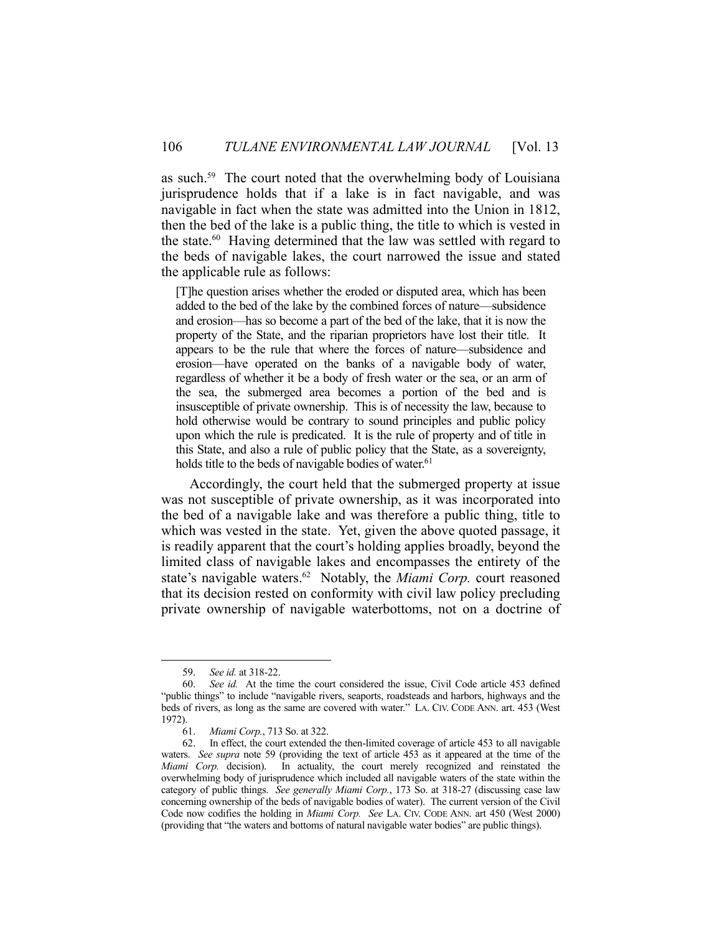as such.<sup>59</sup> The court noted that the overwhelming body of Louisiana jurisprudence holds that if a lake is in fact navigable, and was navigable in fact when the state was admitted into the Union in 1812, then the bed of the lake is a public thing, the title to which is vested in the state.60 Having determined that the law was settled with regard to the beds of navigable lakes, the court narrowed the issue and stated the applicable rule as follows:

[T]he question arises whether the eroded or disputed area, which has been added to the bed of the lake by the combined forces of nature—subsidence and erosion—has so become a part of the bed of the lake, that it is now the property of the State, and the riparian proprietors have lost their title. It appears to be the rule that where the forces of nature—subsidence and erosion—have operated on the banks of a navigable body of water, regardless of whether it be a body of fresh water or the sea, or an arm of the sea, the submerged area becomes a portion of the bed and is insusceptible of private ownership. This is of necessity the law, because to hold otherwise would be contrary to sound principles and public policy upon which the rule is predicated. It is the rule of property and of title in this State, and also a rule of public policy that the State, as a sovereignty, holds title to the beds of navigable bodies of water.<sup>61</sup>

 Accordingly, the court held that the submerged property at issue was not susceptible of private ownership, as it was incorporated into the bed of a navigable lake and was therefore a public thing, title to which was vested in the state. Yet, given the above quoted passage, it is readily apparent that the court's holding applies broadly, beyond the limited class of navigable lakes and encompasses the entirety of the state's navigable waters.<sup>62</sup> Notably, the *Miami Corp*. court reasoned that its decision rested on conformity with civil law policy precluding private ownership of navigable waterbottoms, not on a doctrine of

 <sup>59.</sup> *See id.* at 318-22.

 <sup>60.</sup> *See id.* At the time the court considered the issue, Civil Code article 453 defined "public things" to include "navigable rivers, seaports, roadsteads and harbors, highways and the beds of rivers, as long as the same are covered with water." LA. CIV. CODE ANN. art. 453 (West 1972).

 <sup>61.</sup> *Miami Corp.*, 713 So. at 322.

 <sup>62.</sup> In effect, the court extended the then-limited coverage of article 453 to all navigable waters. *See supra* note 59 (providing the text of article 453 as it appeared at the time of the *Miami Corp.* decision). In actuality, the court merely recognized and reinstated the overwhelming body of jurisprudence which included all navigable waters of the state within the category of public things. *See generally Miami Corp.*, 173 So. at 318-27 (discussing case law concerning ownership of the beds of navigable bodies of water). The current version of the Civil Code now codifies the holding in *Miami Corp. See* LA. CIV. CODE ANN. art 450 (West 2000) (providing that "the waters and bottoms of natural navigable water bodies" are public things).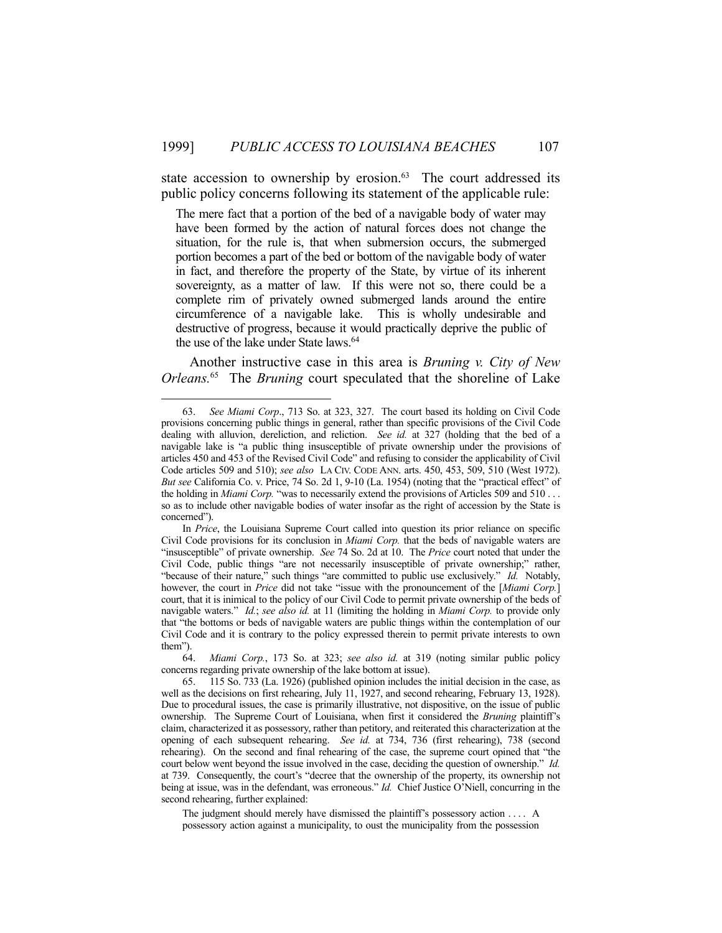state accession to ownership by erosion.<sup>63</sup> The court addressed its public policy concerns following its statement of the applicable rule:

The mere fact that a portion of the bed of a navigable body of water may have been formed by the action of natural forces does not change the situation, for the rule is, that when submersion occurs, the submerged portion becomes a part of the bed or bottom of the navigable body of water in fact, and therefore the property of the State, by virtue of its inherent sovereignty, as a matter of law. If this were not so, there could be a complete rim of privately owned submerged lands around the entire circumference of a navigable lake. This is wholly undesirable and destructive of progress, because it would practically deprive the public of the use of the lake under State laws.<sup>64</sup>

 Another instructive case in this area is *Bruning v. City of New Orleans.*65 The *Bruning* court speculated that the shoreline of Lake

1

The judgment should merely have dismissed the plaintiff's possessory action . . . . A possessory action against a municipality, to oust the municipality from the possession

 <sup>63.</sup> *See Miami Corp*., 713 So. at 323, 327. The court based its holding on Civil Code provisions concerning public things in general, rather than specific provisions of the Civil Code dealing with alluvion, dereliction, and reliction. *See id.* at 327 (holding that the bed of a navigable lake is "a public thing insusceptible of private ownership under the provisions of articles 450 and 453 of the Revised Civil Code" and refusing to consider the applicability of Civil Code articles 509 and 510); *see also* LA CIV. CODE ANN. arts. 450, 453, 509, 510 (West 1972). *But see* California Co. v. Price, 74 So. 2d 1, 9-10 (La. 1954) (noting that the "practical effect" of the holding in *Miami Corp.* "was to necessarily extend the provisions of Articles 509 and 510 . . . so as to include other navigable bodies of water insofar as the right of accession by the State is concerned").

In *Price*, the Louisiana Supreme Court called into question its prior reliance on specific Civil Code provisions for its conclusion in *Miami Corp.* that the beds of navigable waters are "insusceptible" of private ownership. *See* 74 So. 2d at 10. The *Price* court noted that under the Civil Code, public things "are not necessarily insusceptible of private ownership;" rather, "because of their nature," such things "are committed to public use exclusively." *Id.* Notably, however, the court in *Price* did not take "issue with the pronouncement of the [*Miami Corp.*] court, that it is inimical to the policy of our Civil Code to permit private ownership of the beds of navigable waters." *Id.*; *see also id.* at 11 (limiting the holding in *Miami Corp.* to provide only that "the bottoms or beds of navigable waters are public things within the contemplation of our Civil Code and it is contrary to the policy expressed therein to permit private interests to own them").

 <sup>64.</sup> *Miami Corp.*, 173 So. at 323; *see also id.* at 319 (noting similar public policy concerns regarding private ownership of the lake bottom at issue).

 <sup>65. 115</sup> So. 733 (La. 1926) (published opinion includes the initial decision in the case, as well as the decisions on first rehearing, July 11, 1927, and second rehearing, February 13, 1928). Due to procedural issues, the case is primarily illustrative, not dispositive, on the issue of public ownership. The Supreme Court of Louisiana, when first it considered the *Bruning* plaintiff's claim, characterized it as possessory, rather than petitory, and reiterated this characterization at the opening of each subsequent rehearing. *See id.* at 734, 736 (first rehearing), 738 (second rehearing). On the second and final rehearing of the case, the supreme court opined that "the court below went beyond the issue involved in the case, deciding the question of ownership." *Id.* at 739. Consequently, the court's "decree that the ownership of the property, its ownership not being at issue, was in the defendant, was erroneous." *Id.* Chief Justice O'Niell, concurring in the second rehearing, further explained: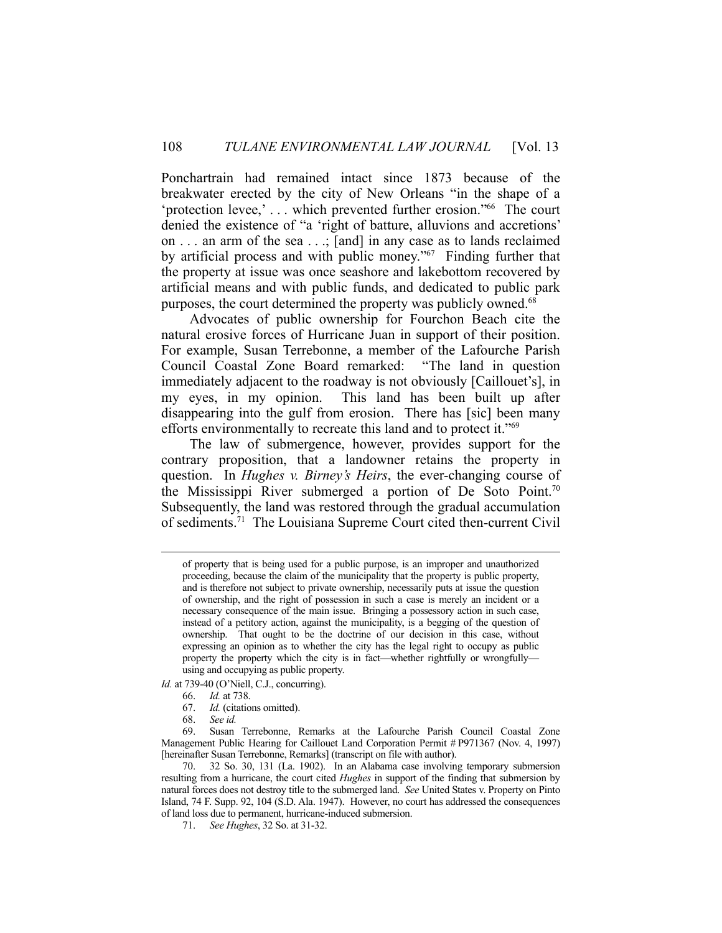Ponchartrain had remained intact since 1873 because of the breakwater erected by the city of New Orleans "in the shape of a 'protection levee,' . . . which prevented further erosion."66 The court denied the existence of "a 'right of batture, alluvions and accretions' on . . . an arm of the sea . . .; [and] in any case as to lands reclaimed by artificial process and with public money."67 Finding further that the property at issue was once seashore and lakebottom recovered by artificial means and with public funds, and dedicated to public park purposes, the court determined the property was publicly owned.<sup>68</sup>

 Advocates of public ownership for Fourchon Beach cite the natural erosive forces of Hurricane Juan in support of their position. For example, Susan Terrebonne, a member of the Lafourche Parish Council Coastal Zone Board remarked: "The land in question immediately adjacent to the roadway is not obviously [Caillouet's], in my eyes, in my opinion. This land has been built up after disappearing into the gulf from erosion. There has [sic] been many efforts environmentally to recreate this land and to protect it."69

 The law of submergence, however, provides support for the contrary proposition, that a landowner retains the property in question. In *Hughes v. Birney's Heirs*, the ever-changing course of the Mississippi River submerged a portion of De Soto Point.70 Subsequently, the land was restored through the gradual accumulation of sediments.71 The Louisiana Supreme Court cited then-current Civil

*Id.* at 739-40 (O'Niell, C.J., concurring).

- 66. *Id.* at 738.
	- 67. *Id.* (citations omitted).
	- 68. *See id.*

of property that is being used for a public purpose, is an improper and unauthorized proceeding, because the claim of the municipality that the property is public property, and is therefore not subject to private ownership, necessarily puts at issue the question of ownership, and the right of possession in such a case is merely an incident or a necessary consequence of the main issue. Bringing a possessory action in such case, instead of a petitory action, against the municipality, is a begging of the question of ownership. That ought to be the doctrine of our decision in this case, without expressing an opinion as to whether the city has the legal right to occupy as public property the property which the city is in fact—whether rightfully or wrongfully using and occupying as public property.

 <sup>69.</sup> Susan Terrebonne, Remarks at the Lafourche Parish Council Coastal Zone Management Public Hearing for Caillouet Land Corporation Permit # P971367 (Nov. 4, 1997) [hereinafter Susan Terrebonne, Remarks] (transcript on file with author).

 <sup>70. 32</sup> So. 30, 131 (La. 1902). In an Alabama case involving temporary submersion resulting from a hurricane, the court cited *Hughes* in support of the finding that submersion by natural forces does not destroy title to the submerged land. *See* United States v. Property on Pinto Island, 74 F. Supp. 92, 104 (S.D. Ala. 1947). However, no court has addressed the consequences of land loss due to permanent, hurricane-induced submersion.

 <sup>71.</sup> *See Hughes*, 32 So. at 31-32.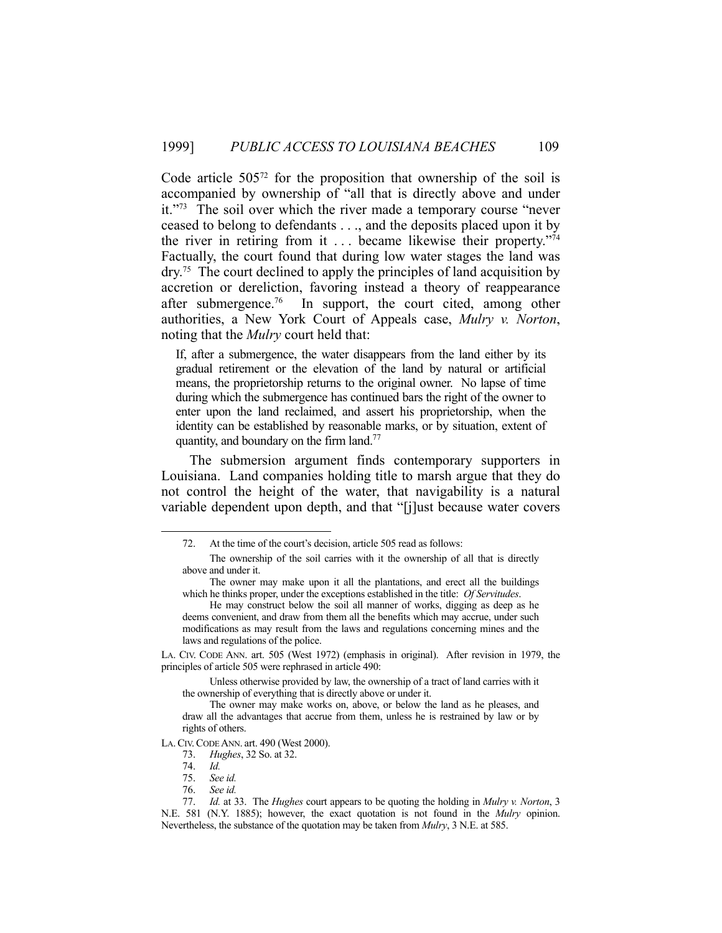Code article  $505^{72}$  for the proposition that ownership of the soil is accompanied by ownership of "all that is directly above and under it."73 The soil over which the river made a temporary course "never ceased to belong to defendants . . ., and the deposits placed upon it by the river in retiring from it  $\ldots$  became likewise their property."<sup>74</sup> Factually, the court found that during low water stages the land was dry.75 The court declined to apply the principles of land acquisition by accretion or dereliction, favoring instead a theory of reappearance after submergence.<sup>76</sup> In support, the court cited, among other authorities, a New York Court of Appeals case, *Mulry v. Norton*, noting that the *Mulry* court held that:

If, after a submergence, the water disappears from the land either by its gradual retirement or the elevation of the land by natural or artificial means, the proprietorship returns to the original owner. No lapse of time during which the submergence has continued bars the right of the owner to enter upon the land reclaimed, and assert his proprietorship, when the identity can be established by reasonable marks, or by situation, extent of quantity, and boundary on the firm land.<sup>77</sup>

 The submersion argument finds contemporary supporters in Louisiana. Land companies holding title to marsh argue that they do not control the height of the water, that navigability is a natural variable dependent upon depth, and that "[j]ust because water covers

LA. CIV. CODE ANN. art. 505 (West 1972) (emphasis in original). After revision in 1979, the principles of article 505 were rephrased in article 490:

 Unless otherwise provided by law, the ownership of a tract of land carries with it the ownership of everything that is directly above or under it.

LA.CIV.CODE ANN. art. 490 (West 2000).

 <sup>72.</sup> At the time of the court's decision, article 505 read as follows:

The ownership of the soil carries with it the ownership of all that is directly above and under it.

The owner may make upon it all the plantations, and erect all the buildings which he thinks proper, under the exceptions established in the title: *Of Servitudes*.

He may construct below the soil all manner of works, digging as deep as he deems convenient, and draw from them all the benefits which may accrue, under such modifications as may result from the laws and regulations concerning mines and the laws and regulations of the police.

The owner may make works on, above, or below the land as he pleases, and draw all the advantages that accrue from them, unless he is restrained by law or by rights of others.

 <sup>73.</sup> *Hughes*, 32 So. at 32.

 <sup>74.</sup> *Id.*

 <sup>75.</sup> *See id.*

 <sup>76.</sup> *See id.*

 <sup>77.</sup> *Id.* at 33. The *Hughes* court appears to be quoting the holding in *Mulry v. Norton*, 3 N.E. 581 (N.Y. 1885); however, the exact quotation is not found in the *Mulry* opinion. Nevertheless, the substance of the quotation may be taken from *Mulry*, 3 N.E. at 585.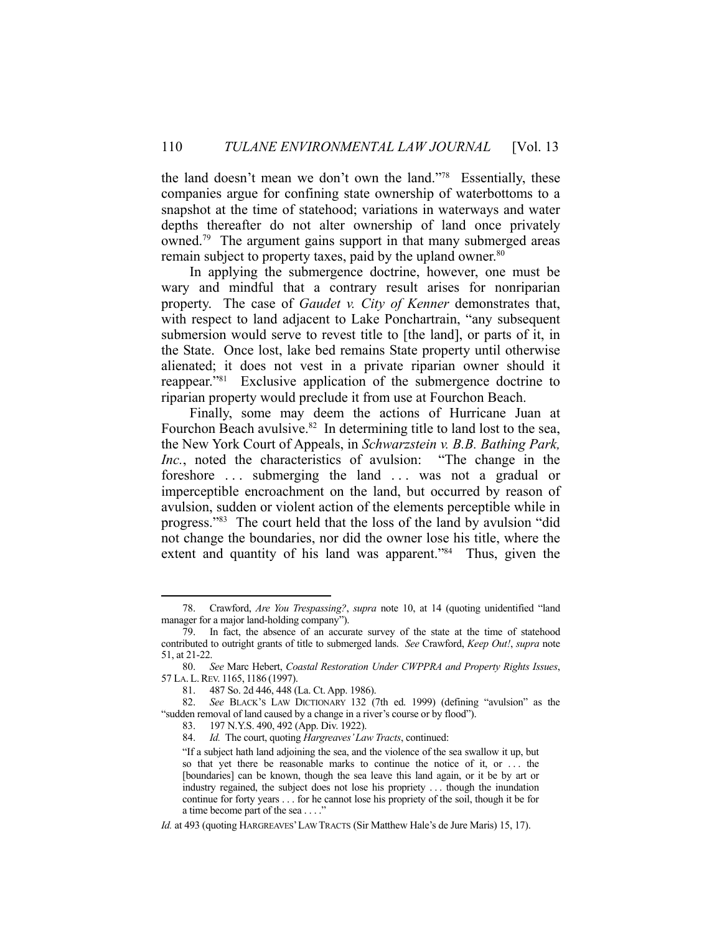the land doesn't mean we don't own the land."78 Essentially, these companies argue for confining state ownership of waterbottoms to a snapshot at the time of statehood; variations in waterways and water depths thereafter do not alter ownership of land once privately owned.79 The argument gains support in that many submerged areas remain subject to property taxes, paid by the upland owner.<sup>80</sup>

 In applying the submergence doctrine, however, one must be wary and mindful that a contrary result arises for nonriparian property. The case of *Gaudet v. City of Kenner* demonstrates that, with respect to land adjacent to Lake Ponchartrain, "any subsequent submersion would serve to revest title to [the land], or parts of it, in the State. Once lost, lake bed remains State property until otherwise alienated; it does not vest in a private riparian owner should it reappear."81 Exclusive application of the submergence doctrine to riparian property would preclude it from use at Fourchon Beach.

 Finally, some may deem the actions of Hurricane Juan at Fourchon Beach avulsive.<sup>82</sup> In determining title to land lost to the sea, the New York Court of Appeals, in *Schwarzstein v. B.B. Bathing Park, Inc.*, noted the characteristics of avulsion: "The change in the foreshore ... submerging the land ... was not a gradual or imperceptible encroachment on the land, but occurred by reason of avulsion, sudden or violent action of the elements perceptible while in progress."83 The court held that the loss of the land by avulsion "did not change the boundaries, nor did the owner lose his title, where the extent and quantity of his land was apparent."<sup>84</sup> Thus, given the

 <sup>78.</sup> Crawford, *Are You Trespassing?*, *supra* note 10, at 14 (quoting unidentified "land manager for a major land-holding company").

 <sup>79.</sup> In fact, the absence of an accurate survey of the state at the time of statehood contributed to outright grants of title to submerged lands. *See* Crawford, *Keep Out!*, *supra* note 51, at 21-22.

 <sup>80.</sup> *See* Marc Hebert, *Coastal Restoration Under CWPPRA and Property Rights Issues*, 57 LA. L.REV. 1165, 1186 (1997).

 <sup>81. 487</sup> So. 2d 446, 448 (La. Ct. App. 1986).

 <sup>82.</sup> *See* BLACK'S LAW DICTIONARY 132 (7th ed. 1999) (defining "avulsion" as the "sudden removal of land caused by a change in a river's course or by flood").

 <sup>83. 197</sup> N.Y.S. 490, 492 (App. Div. 1922).

 <sup>84.</sup> *Id.* The court, quoting *Hargreaves' Law Tracts*, continued:

<sup>&</sup>quot;If a subject hath land adjoining the sea, and the violence of the sea swallow it up, but so that yet there be reasonable marks to continue the notice of it, or ... the [boundaries] can be known, though the sea leave this land again, or it be by art or industry regained, the subject does not lose his propriety . . . though the inundation continue for forty years . . . for he cannot lose his propriety of the soil, though it be for a time become part of the sea . . . ."

*Id.* at 493 (quoting HARGREAVES'LAW TRACTS (Sir Matthew Hale's de Jure Maris) 15, 17).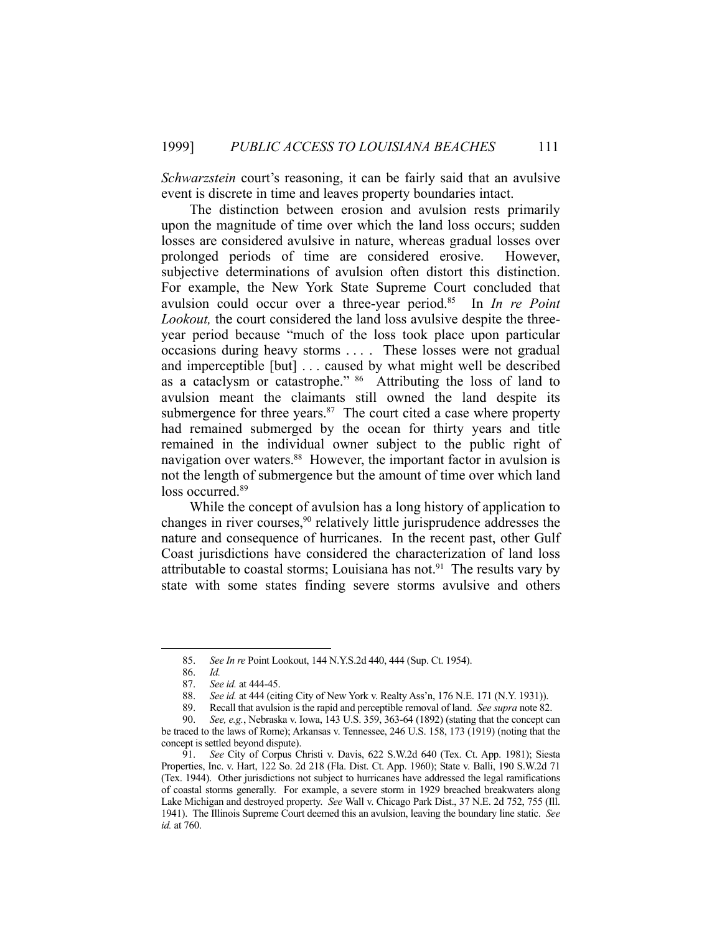*Schwarzstein* court's reasoning, it can be fairly said that an avulsive event is discrete in time and leaves property boundaries intact.

 The distinction between erosion and avulsion rests primarily upon the magnitude of time over which the land loss occurs; sudden losses are considered avulsive in nature, whereas gradual losses over prolonged periods of time are considered erosive. However, subjective determinations of avulsion often distort this distinction. For example, the New York State Supreme Court concluded that avulsion could occur over a three-year period.85 In *In re Point Lookout,* the court considered the land loss avulsive despite the threeyear period because "much of the loss took place upon particular occasions during heavy storms . . . . These losses were not gradual and imperceptible [but] . . . caused by what might well be described as a cataclysm or catastrophe." 86 Attributing the loss of land to avulsion meant the claimants still owned the land despite its submergence for three years. $87$  The court cited a case where property had remained submerged by the ocean for thirty years and title remained in the individual owner subject to the public right of navigation over waters.<sup>88</sup> However, the important factor in avulsion is not the length of submergence but the amount of time over which land loss occurred.<sup>89</sup>

 While the concept of avulsion has a long history of application to changes in river courses,<sup>90</sup> relatively little jurisprudence addresses the nature and consequence of hurricanes. In the recent past, other Gulf Coast jurisdictions have considered the characterization of land loss attributable to coastal storms; Louisiana has not. $91$  The results vary by state with some states finding severe storms avulsive and others

 <sup>85.</sup> *See In re* Point Lookout, 144 N.Y.S.2d 440, 444 (Sup. Ct. 1954).

 <sup>86.</sup> *Id.*

 <sup>87.</sup> *See id.* at 444-45.

 <sup>88.</sup> *See id.* at 444 (citing City of New York v. Realty Ass'n, 176 N.E. 171 (N.Y. 1931)).

 <sup>89.</sup> Recall that avulsion is the rapid and perceptible removal of land. *See supra* note 82.

 <sup>90.</sup> *See, e.g.*, Nebraska v. Iowa, 143 U.S. 359, 363-64 (1892) (stating that the concept can be traced to the laws of Rome); Arkansas v. Tennessee, 246 U.S. 158, 173 (1919) (noting that the concept is settled beyond dispute).

 <sup>91.</sup> *See* City of Corpus Christi v. Davis, 622 S.W.2d 640 (Tex. Ct. App. 1981); Siesta Properties, Inc. v. Hart, 122 So. 2d 218 (Fla. Dist. Ct. App. 1960); State v. Balli, 190 S.W.2d 71 (Tex. 1944). Other jurisdictions not subject to hurricanes have addressed the legal ramifications of coastal storms generally. For example, a severe storm in 1929 breached breakwaters along Lake Michigan and destroyed property. *See* Wall v. Chicago Park Dist., 37 N.E. 2d 752, 755 (Ill. 1941). The Illinois Supreme Court deemed this an avulsion, leaving the boundary line static. *See id.* at 760.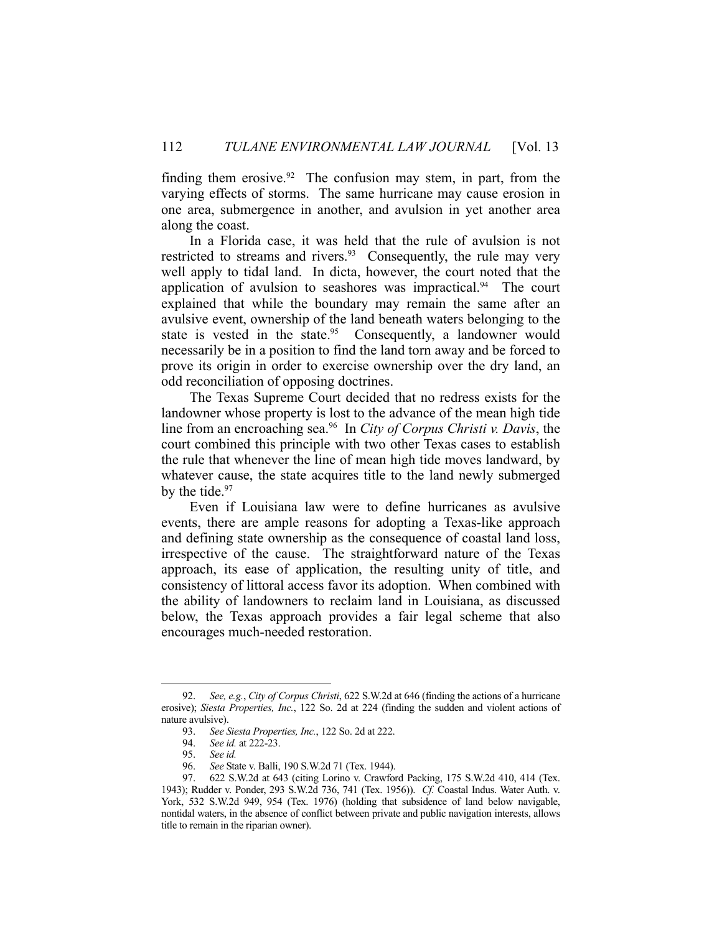finding them erosive. $92$  The confusion may stem, in part, from the varying effects of storms. The same hurricane may cause erosion in one area, submergence in another, and avulsion in yet another area along the coast.

 In a Florida case, it was held that the rule of avulsion is not restricted to streams and rivers.<sup>93</sup> Consequently, the rule may very well apply to tidal land. In dicta, however, the court noted that the application of avulsion to seashores was impractical. $94$  The court explained that while the boundary may remain the same after an avulsive event, ownership of the land beneath waters belonging to the state is vested in the state.<sup>95</sup> Consequently, a landowner would necessarily be in a position to find the land torn away and be forced to prove its origin in order to exercise ownership over the dry land, an odd reconciliation of opposing doctrines.

 The Texas Supreme Court decided that no redress exists for the landowner whose property is lost to the advance of the mean high tide line from an encroaching sea.96 In *City of Corpus Christi v. Davis*, the court combined this principle with two other Texas cases to establish the rule that whenever the line of mean high tide moves landward, by whatever cause, the state acquires title to the land newly submerged by the tide.<sup>97</sup>

 Even if Louisiana law were to define hurricanes as avulsive events, there are ample reasons for adopting a Texas-like approach and defining state ownership as the consequence of coastal land loss, irrespective of the cause. The straightforward nature of the Texas approach, its ease of application, the resulting unity of title, and consistency of littoral access favor its adoption. When combined with the ability of landowners to reclaim land in Louisiana, as discussed below, the Texas approach provides a fair legal scheme that also encourages much-needed restoration.

 <sup>92.</sup> *See, e.g.*, *City of Corpus Christi*, 622 S.W.2d at 646 (finding the actions of a hurricane erosive); *Siesta Properties, Inc.*, 122 So. 2d at 224 (finding the sudden and violent actions of nature avulsive).

 <sup>93.</sup> *See Siesta Properties, Inc.*, 122 So. 2d at 222.

 <sup>94.</sup> *See id.* at 222-23.

 <sup>95.</sup> *See id.*

 <sup>96.</sup> *See* State v. Balli, 190 S.W.2d 71 (Tex. 1944).

 <sup>97. 622</sup> S.W.2d at 643 (citing Lorino v. Crawford Packing, 175 S.W.2d 410, 414 (Tex. 1943); Rudder v. Ponder, 293 S.W.2d 736, 741 (Tex. 1956)). *Cf.* Coastal Indus. Water Auth. v. York, 532 S.W.2d 949, 954 (Tex. 1976) (holding that subsidence of land below navigable, nontidal waters, in the absence of conflict between private and public navigation interests, allows title to remain in the riparian owner).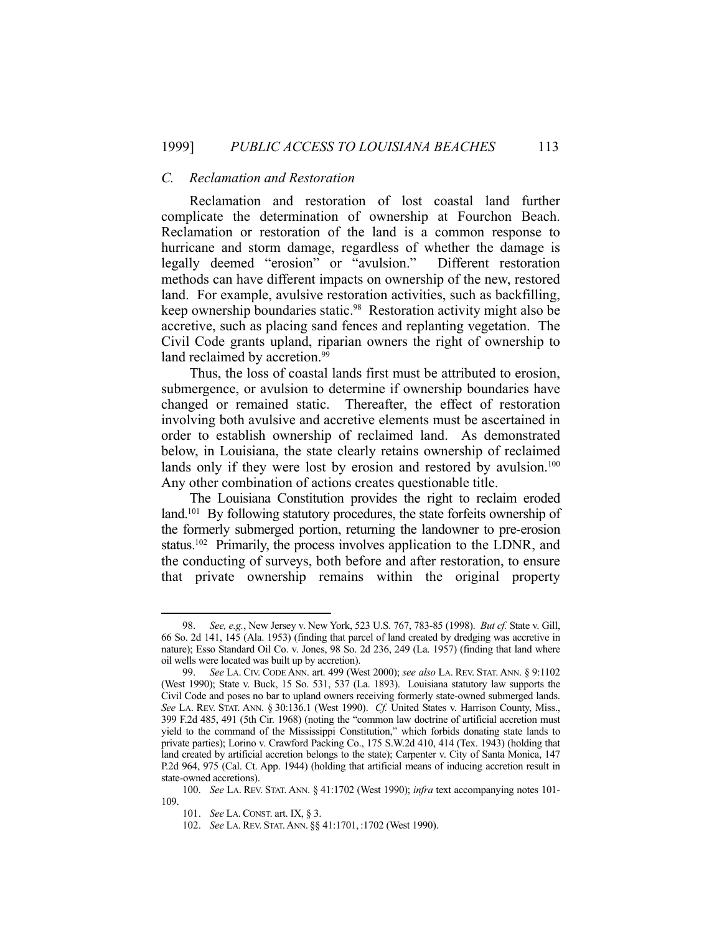#### *C. Reclamation and Restoration*

 Reclamation and restoration of lost coastal land further complicate the determination of ownership at Fourchon Beach. Reclamation or restoration of the land is a common response to hurricane and storm damage, regardless of whether the damage is legally deemed "erosion" or "avulsion." Different restoration methods can have different impacts on ownership of the new, restored land. For example, avulsive restoration activities, such as backfilling, keep ownership boundaries static.98 Restoration activity might also be accretive, such as placing sand fences and replanting vegetation. The Civil Code grants upland, riparian owners the right of ownership to land reclaimed by accretion.<sup>99</sup>

 Thus, the loss of coastal lands first must be attributed to erosion, submergence, or avulsion to determine if ownership boundaries have changed or remained static. Thereafter, the effect of restoration involving both avulsive and accretive elements must be ascertained in order to establish ownership of reclaimed land. As demonstrated below, in Louisiana, the state clearly retains ownership of reclaimed lands only if they were lost by erosion and restored by avulsion.<sup>100</sup> Any other combination of actions creates questionable title.

 The Louisiana Constitution provides the right to reclaim eroded land.<sup>101</sup> By following statutory procedures, the state forfeits ownership of the formerly submerged portion, returning the landowner to pre-erosion status.<sup>102</sup> Primarily, the process involves application to the LDNR, and the conducting of surveys, both before and after restoration, to ensure that private ownership remains within the original property

 <sup>98.</sup> *See, e.g.*, New Jersey v. New York, 523 U.S. 767, 783-85 (1998). *But cf.* State v. Gill, 66 So. 2d 141, 145 (Ala. 1953) (finding that parcel of land created by dredging was accretive in nature); Esso Standard Oil Co. v. Jones, 98 So. 2d 236, 249 (La. 1957) (finding that land where oil wells were located was built up by accretion).

 <sup>99.</sup> *See* LA. CIV. CODE ANN. art. 499 (West 2000); *see also* LA. REV. STAT. ANN. § 9:1102 (West 1990); State v. Buck, 15 So. 531, 537 (La. 1893). Louisiana statutory law supports the Civil Code and poses no bar to upland owners receiving formerly state-owned submerged lands. *See* LA. REV. STAT. ANN. § 30:136.1 (West 1990). *Cf.* United States v. Harrison County, Miss., 399 F.2d 485, 491 (5th Cir. 1968) (noting the "common law doctrine of artificial accretion must yield to the command of the Mississippi Constitution," which forbids donating state lands to private parties); Lorino v. Crawford Packing Co., 175 S.W.2d 410, 414 (Tex. 1943) (holding that land created by artificial accretion belongs to the state); Carpenter v. City of Santa Monica, 147 P.2d 964, 975 (Cal. Ct. App. 1944) (holding that artificial means of inducing accretion result in state-owned accretions).

 <sup>100.</sup> *See* LA. REV. STAT. ANN. § 41:1702 (West 1990); *infra* text accompanying notes 101- 109.

 <sup>101.</sup> *See* LA.CONST. art. IX, § 3.

 <sup>102.</sup> *See* LA.REV. STAT.ANN. §§ 41:1701, :1702 (West 1990).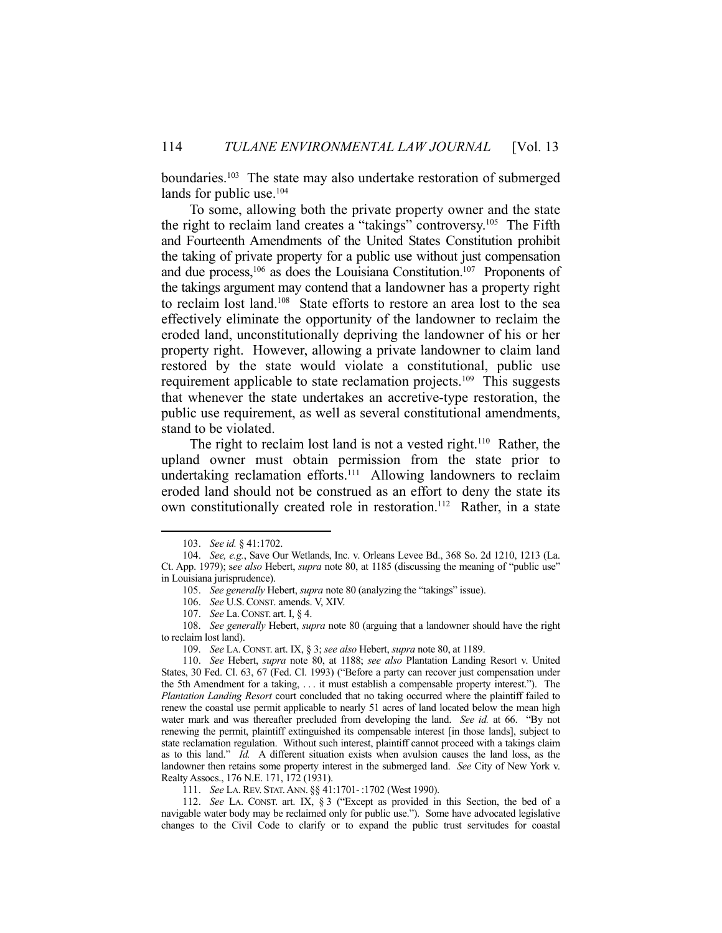boundaries.<sup>103</sup> The state may also undertake restoration of submerged lands for public use.<sup>104</sup>

 To some, allowing both the private property owner and the state the right to reclaim land creates a "takings" controversy.105 The Fifth and Fourteenth Amendments of the United States Constitution prohibit the taking of private property for a public use without just compensation and due process,<sup>106</sup> as does the Louisiana Constitution.<sup>107</sup> Proponents of the takings argument may contend that a landowner has a property right to reclaim lost land.108 State efforts to restore an area lost to the sea effectively eliminate the opportunity of the landowner to reclaim the eroded land, unconstitutionally depriving the landowner of his or her property right. However, allowing a private landowner to claim land restored by the state would violate a constitutional, public use requirement applicable to state reclamation projects.<sup>109</sup> This suggests that whenever the state undertakes an accretive-type restoration, the public use requirement, as well as several constitutional amendments, stand to be violated.

The right to reclaim lost land is not a vested right.<sup>110</sup> Rather, the upland owner must obtain permission from the state prior to undertaking reclamation efforts.<sup>111</sup> Allowing landowners to reclaim eroded land should not be construed as an effort to deny the state its own constitutionally created role in restoration.<sup>112</sup> Rather, in a state

 <sup>103.</sup> *See id.* § 41:1702.

 <sup>104.</sup> *See, e.g.*, Save Our Wetlands, Inc. v. Orleans Levee Bd., 368 So. 2d 1210, 1213 (La. Ct. App. 1979); s*ee also* Hebert, *supra* note 80, at 1185 (discussing the meaning of "public use" in Louisiana jurisprudence).

 <sup>105.</sup> *See generally* Hebert, *supra* note 80 (analyzing the "takings" issue).

 <sup>106.</sup> *See* U.S. CONST. amends. V, XIV.

 <sup>107.</sup> *See* La.CONST. art. I, § 4.

 <sup>108.</sup> *See generally* Hebert, *supra* note 80 (arguing that a landowner should have the right to reclaim lost land).

 <sup>109.</sup> *See* LA.CONST. art. IX, § 3; *see also* Hebert, *supra* note 80, at 1189.

 <sup>110.</sup> *See* Hebert, *supra* note 80, at 1188; *see also* Plantation Landing Resort v. United States, 30 Fed. Cl. 63, 67 (Fed. Cl. 1993) ("Before a party can recover just compensation under the 5th Amendment for a taking, . . . it must establish a compensable property interest."). The *Plantation Landing Resort* court concluded that no taking occurred where the plaintiff failed to renew the coastal use permit applicable to nearly 51 acres of land located below the mean high water mark and was thereafter precluded from developing the land. *See id.* at 66. "By not renewing the permit, plaintiff extinguished its compensable interest [in those lands], subject to state reclamation regulation. Without such interest, plaintiff cannot proceed with a takings claim as to this land." *Id.* A different situation exists when avulsion causes the land loss, as the landowner then retains some property interest in the submerged land. *See* City of New York v. Realty Assocs., 176 N.E. 171, 172 (1931).

 <sup>111.</sup> *See* LA.REV. STAT.ANN. §§ 41:1701-:1702 (West 1990).

 <sup>112.</sup> *See* LA. CONST. art. IX, § 3 ("Except as provided in this Section, the bed of a navigable water body may be reclaimed only for public use."). Some have advocated legislative changes to the Civil Code to clarify or to expand the public trust servitudes for coastal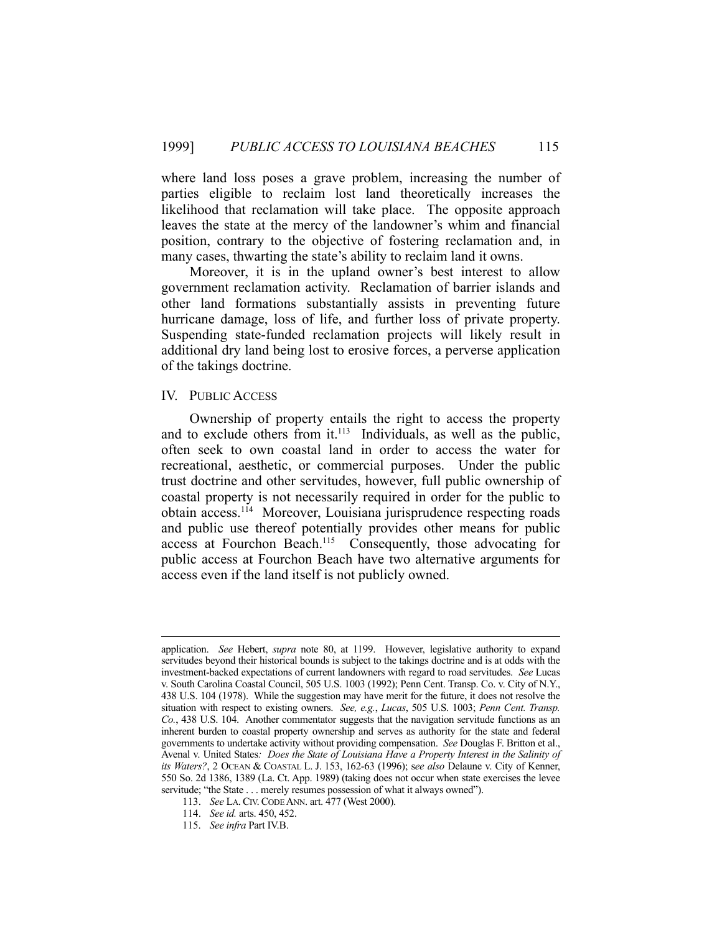where land loss poses a grave problem, increasing the number of parties eligible to reclaim lost land theoretically increases the likelihood that reclamation will take place. The opposite approach leaves the state at the mercy of the landowner's whim and financial position, contrary to the objective of fostering reclamation and, in many cases, thwarting the state's ability to reclaim land it owns.

 Moreover, it is in the upland owner's best interest to allow government reclamation activity. Reclamation of barrier islands and other land formations substantially assists in preventing future hurricane damage, loss of life, and further loss of private property. Suspending state-funded reclamation projects will likely result in additional dry land being lost to erosive forces, a perverse application of the takings doctrine.

# IV. PUBLIC ACCESS

 Ownership of property entails the right to access the property and to exclude others from it. $113$  Individuals, as well as the public, often seek to own coastal land in order to access the water for recreational, aesthetic, or commercial purposes. Under the public trust doctrine and other servitudes, however, full public ownership of coastal property is not necessarily required in order for the public to obtain access.114 Moreover, Louisiana jurisprudence respecting roads and public use thereof potentially provides other means for public access at Fourchon Beach.115 Consequently, those advocating for public access at Fourchon Beach have two alternative arguments for access even if the land itself is not publicly owned.

application. *See* Hebert, *supra* note 80, at 1199. However, legislative authority to expand servitudes beyond their historical bounds is subject to the takings doctrine and is at odds with the investment-backed expectations of current landowners with regard to road servitudes. *See* Lucas v. South Carolina Coastal Council, 505 U.S. 1003 (1992); Penn Cent. Transp. Co. v. City of N.Y., 438 U.S. 104 (1978). While the suggestion may have merit for the future, it does not resolve the situation with respect to existing owners. *See, e.g.*, *Lucas*, 505 U.S. 1003; *Penn Cent. Transp. Co.*, 438 U.S. 104.Another commentator suggests that the navigation servitude functions as an inherent burden to coastal property ownership and serves as authority for the state and federal governments to undertake activity without providing compensation. *See* Douglas F. Britton et al., Avenal v. United States*: Does the State of Louisiana Have a Property Interest in the Salinity of its Waters?*, 2 OCEAN & COASTAL L. J. 153, 162-63 (1996); s*ee also* Delaune v. City of Kenner, 550 So. 2d 1386, 1389 (La. Ct. App. 1989) (taking does not occur when state exercises the levee servitude; "the State . . . merely resumes possession of what it always owned").

 <sup>113.</sup> *See* LA.CIV.CODE ANN. art. 477 (West 2000).

 <sup>114.</sup> *See id.* arts. 450, 452.

 <sup>115.</sup> *See infra* Part IV.B.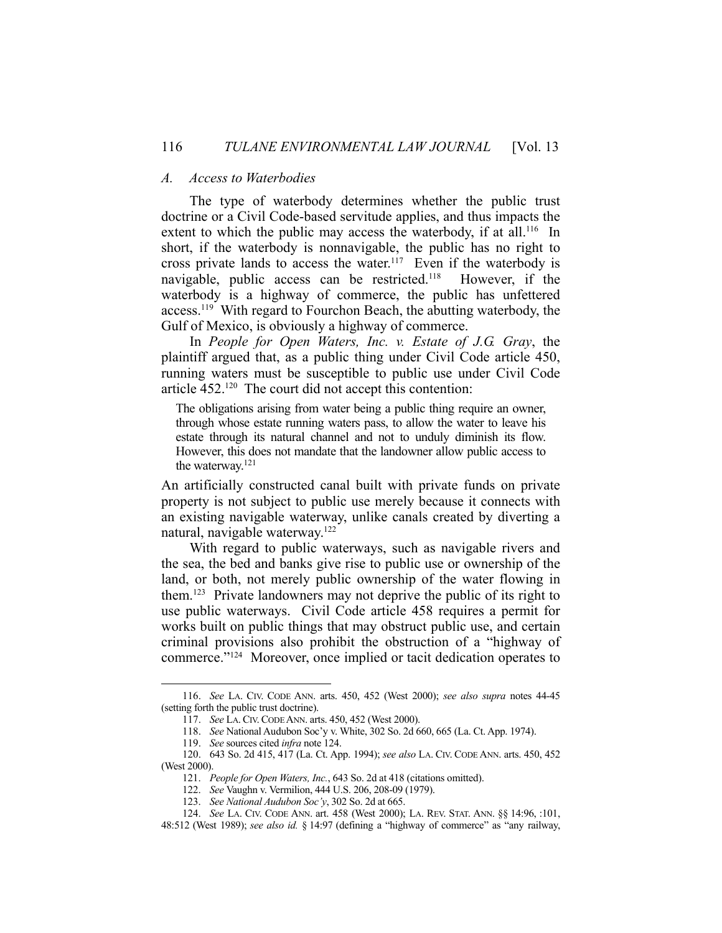## *A. Access to Waterbodies*

 The type of waterbody determines whether the public trust doctrine or a Civil Code-based servitude applies, and thus impacts the extent to which the public may access the waterbody, if at all.<sup>116</sup> In short, if the waterbody is nonnavigable, the public has no right to cross private lands to access the water.117 Even if the waterbody is navigable, public access can be restricted.118 However, if the waterbody is a highway of commerce, the public has unfettered access.119 With regard to Fourchon Beach, the abutting waterbody, the Gulf of Mexico, is obviously a highway of commerce.

 In *People for Open Waters, Inc. v. Estate of J.G. Gray*, the plaintiff argued that, as a public thing under Civil Code article 450, running waters must be susceptible to public use under Civil Code article 452.120 The court did not accept this contention:

The obligations arising from water being a public thing require an owner, through whose estate running waters pass, to allow the water to leave his estate through its natural channel and not to unduly diminish its flow. However, this does not mandate that the landowner allow public access to the waterway.121

An artificially constructed canal built with private funds on private property is not subject to public use merely because it connects with an existing navigable waterway, unlike canals created by diverting a natural, navigable waterway.122

 With regard to public waterways, such as navigable rivers and the sea, the bed and banks give rise to public use or ownership of the land, or both, not merely public ownership of the water flowing in them.123 Private landowners may not deprive the public of its right to use public waterways. Civil Code article 458 requires a permit for works built on public things that may obstruct public use, and certain criminal provisions also prohibit the obstruction of a "highway of commerce."124 Moreover, once implied or tacit dedication operates to

 <sup>116.</sup> *See* LA. CIV. CODE ANN. arts. 450, 452 (West 2000); *see also supra* notes 44-45 (setting forth the public trust doctrine).

 <sup>117.</sup> *See* LA.CIV.CODE ANN. arts. 450, 452 (West 2000).

 <sup>118.</sup> *See* National Audubon Soc'y v. White, 302 So. 2d 660, 665 (La. Ct. App. 1974).

 <sup>119.</sup> *See* sources cited *infra* note 124.

 <sup>120. 643</sup> So. 2d 415, 417 (La. Ct. App. 1994); *see also* LA. CIV. CODE ANN. arts. 450, 452 (West 2000).

 <sup>121.</sup> *People for Open Waters, Inc.*, 643 So. 2d at 418 (citations omitted).

 <sup>122.</sup> *See* Vaughn v. Vermilion, 444 U.S. 206, 208-09 (1979).

 <sup>123.</sup> *See National Audubon Soc'y*, 302 So. 2d at 665.

 <sup>124.</sup> *See* LA. CIV. CODE ANN. art. 458 (West 2000); LA. REV. STAT. ANN. §§ 14:96, :101, 48:512 (West 1989); *see also id.* § 14:97 (defining a "highway of commerce" as "any railway,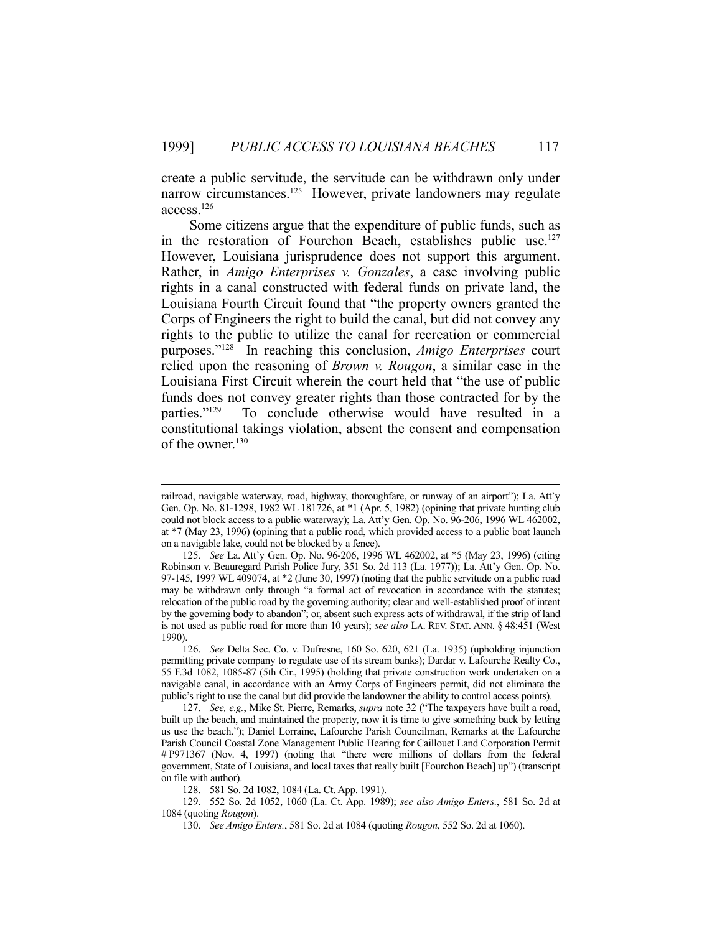create a public servitude, the servitude can be withdrawn only under narrow circumstances.<sup>125</sup> However, private landowners may regulate access.126

 Some citizens argue that the expenditure of public funds, such as in the restoration of Fourchon Beach, establishes public use.<sup>127</sup> However, Louisiana jurisprudence does not support this argument. Rather, in *Amigo Enterprises v. Gonzales*, a case involving public rights in a canal constructed with federal funds on private land, the Louisiana Fourth Circuit found that "the property owners granted the Corps of Engineers the right to build the canal, but did not convey any rights to the public to utilize the canal for recreation or commercial purposes."128 In reaching this conclusion, *Amigo Enterprises* court relied upon the reasoning of *Brown v. Rougon*, a similar case in the Louisiana First Circuit wherein the court held that "the use of public funds does not convey greater rights than those contracted for by the parties." $129$  To conclude otherwise would have resulted in a To conclude otherwise would have resulted in a constitutional takings violation, absent the consent and compensation of the owner.<sup>130</sup>

railroad, navigable waterway, road, highway, thoroughfare, or runway of an airport"); La. Att'y Gen. Op. No. 81-1298, 1982 WL 181726, at \*1 (Apr. 5, 1982) (opining that private hunting club could not block access to a public waterway); La. Att'y Gen. Op. No. 96-206, 1996 WL 462002, at \*7 (May 23, 1996) (opining that a public road, which provided access to a public boat launch on a navigable lake, could not be blocked by a fence).

 <sup>125.</sup> *See* La. Att'y Gen. Op. No. 96-206, 1996 WL 462002, at \*5 (May 23, 1996) (citing Robinson v. Beauregard Parish Police Jury, 351 So. 2d 113 (La. 1977)); La. Att'y Gen. Op. No. 97-145, 1997 WL 409074, at \*2 (June 30, 1997) (noting that the public servitude on a public road may be withdrawn only through "a formal act of revocation in accordance with the statutes; relocation of the public road by the governing authority; clear and well-established proof of intent by the governing body to abandon"; or, absent such express acts of withdrawal, if the strip of land is not used as public road for more than 10 years); *see also* LA. REV. STAT. ANN. § 48:451 (West 1990).

 <sup>126.</sup> *See* Delta Sec. Co. v. Dufresne, 160 So. 620, 621 (La. 1935) (upholding injunction permitting private company to regulate use of its stream banks); Dardar v. Lafourche Realty Co., 55 F.3d 1082, 1085-87 (5th Cir., 1995) (holding that private construction work undertaken on a navigable canal, in accordance with an Army Corps of Engineers permit, did not eliminate the public's right to use the canal but did provide the landowner the ability to control access points).

 <sup>127.</sup> *See, e.g.*, Mike St. Pierre, Remarks, *supra* note 32 ("The taxpayers have built a road, built up the beach, and maintained the property, now it is time to give something back by letting us use the beach."); Daniel Lorraine, Lafourche Parish Councilman, Remarks at the Lafourche Parish Council Coastal Zone Management Public Hearing for Caillouet Land Corporation Permit # P971367 (Nov. 4, 1997) (noting that "there were millions of dollars from the federal government, State of Louisiana, and local taxes that really built [Fourchon Beach] up") (transcript on file with author).

 <sup>128. 581</sup> So. 2d 1082, 1084 (La. Ct. App. 1991).

 <sup>129. 552</sup> So. 2d 1052, 1060 (La. Ct. App. 1989); *see also Amigo Enters.*, 581 So. 2d at 1084 (quoting *Rougon*).

 <sup>130.</sup> *See Amigo Enters.*, 581 So. 2d at 1084 (quoting *Rougon*, 552 So. 2d at 1060).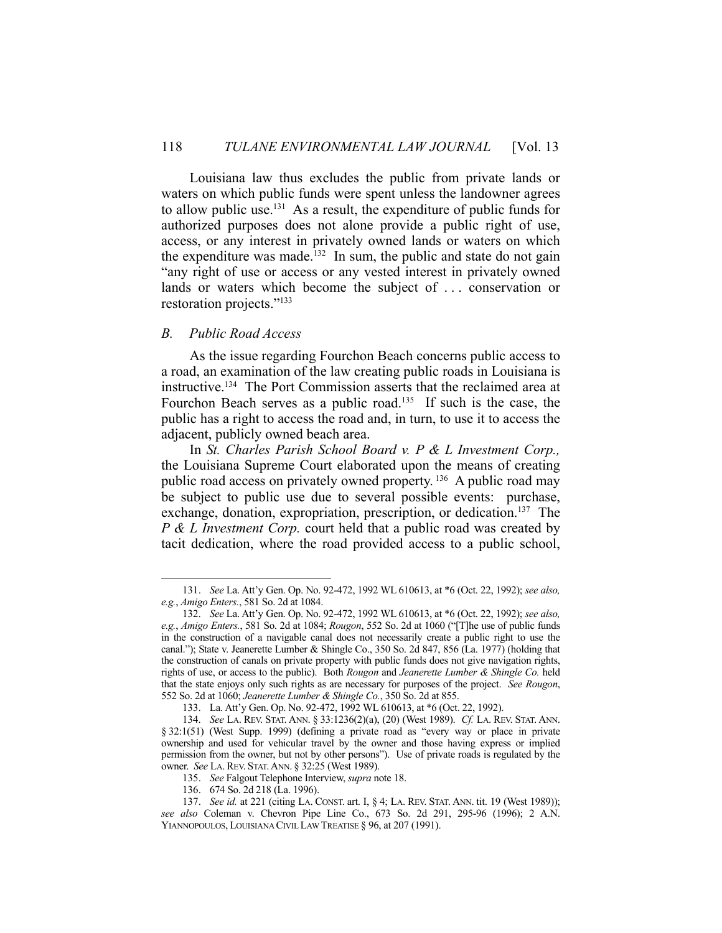Louisiana law thus excludes the public from private lands or waters on which public funds were spent unless the landowner agrees to allow public use.131 As a result, the expenditure of public funds for authorized purposes does not alone provide a public right of use, access, or any interest in privately owned lands or waters on which the expenditure was made.<sup>132</sup> In sum, the public and state do not gain "any right of use or access or any vested interest in privately owned lands or waters which become the subject of . . . conservation or restoration projects."133

#### *B. Public Road Access*

1

 As the issue regarding Fourchon Beach concerns public access to a road, an examination of the law creating public roads in Louisiana is instructive.134 The Port Commission asserts that the reclaimed area at Fourchon Beach serves as a public road.<sup>135</sup> If such is the case, the public has a right to access the road and, in turn, to use it to access the adjacent, publicly owned beach area.

 In *St. Charles Parish School Board v. P & L Investment Corp.,* the Louisiana Supreme Court elaborated upon the means of creating public road access on privately owned property.<sup>136</sup> A public road may be subject to public use due to several possible events: purchase, exchange, donation, expropriation, prescription, or dedication.<sup>137</sup> The *P & L Investment Corp.* court held that a public road was created by tacit dedication, where the road provided access to a public school,

 <sup>131.</sup> *See* La. Att'y Gen. Op. No. 92-472, 1992 WL 610613, at \*6 (Oct. 22, 1992); *see also, e.g.*, *Amigo Enters.*, 581 So. 2d at 1084.

 <sup>132.</sup> *See* La. Att'y Gen. Op. No. 92-472, 1992 WL 610613, at \*6 (Oct. 22, 1992); *see also, e.g.*, *Amigo Enters.*, 581 So. 2d at 1084; *Rougon*, 552 So. 2d at 1060 ("[T]he use of public funds in the construction of a navigable canal does not necessarily create a public right to use the canal."); State v. Jeanerette Lumber & Shingle Co., 350 So. 2d 847, 856 (La. 1977) (holding that the construction of canals on private property with public funds does not give navigation rights, rights of use, or access to the public). Both *Rougon* and *Jeanerette Lumber & Shingle Co.* held that the state enjoys only such rights as are necessary for purposes of the project. *See Rougon*, 552 So. 2d at 1060; *Jeanerette Lumber & Shingle Co.*, 350 So. 2d at 855.

 <sup>133.</sup> La. Att'y Gen. Op. No. 92-472, 1992 WL 610613, at \*6 (Oct. 22, 1992).

 <sup>134.</sup> *See* LA. REV. STAT. ANN. § 33:1236(2)(a), (20) (West 1989). *Cf.* LA. REV. STAT. ANN. § 32:1(51) (West Supp. 1999) (defining a private road as "every way or place in private ownership and used for vehicular travel by the owner and those having express or implied permission from the owner, but not by other persons"). Use of private roads is regulated by the owner. *See* LA.REV. STAT.ANN. § 32:25 (West 1989).

 <sup>135.</sup> *See* Falgout Telephone Interview, *supra* note 18.

 <sup>136. 674</sup> So. 2d 218 (La. 1996).

 <sup>137.</sup> *See id.* at 221 (citing LA. CONST. art. I, § 4; LA. REV. STAT. ANN. tit. 19 (West 1989)); *see also* Coleman v. Chevron Pipe Line Co., 673 So. 2d 291, 295-96 (1996); 2 A.N. YIANNOPOULOS, LOUISIANA CIVIL LAW TREATISE § 96, at 207 (1991).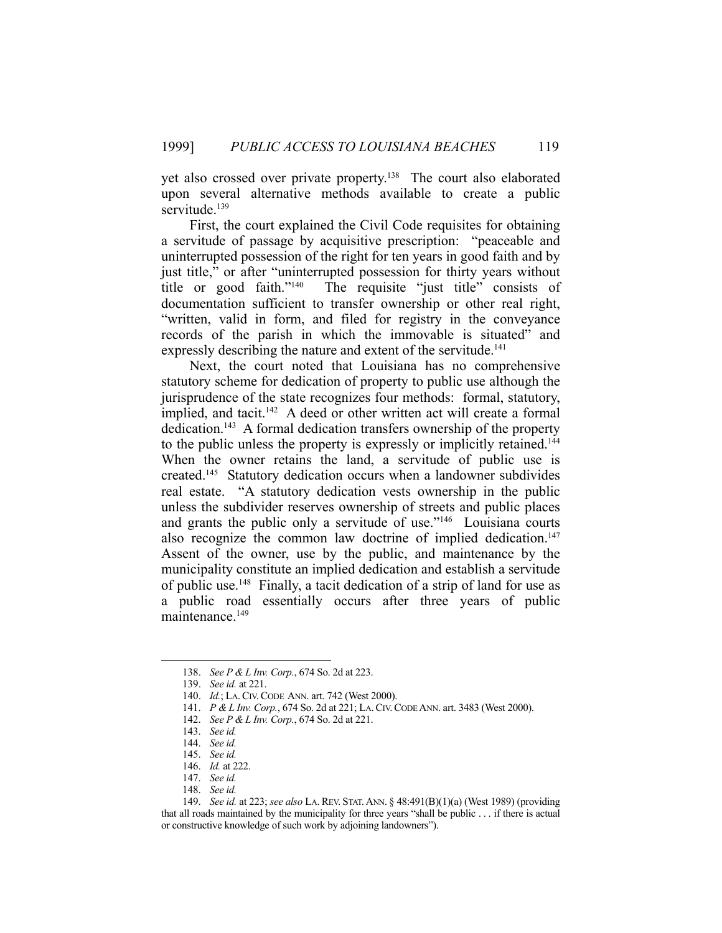yet also crossed over private property.138 The court also elaborated upon several alternative methods available to create a public servitude.<sup>139</sup>

 First, the court explained the Civil Code requisites for obtaining a servitude of passage by acquisitive prescription: "peaceable and uninterrupted possession of the right for ten years in good faith and by just title," or after "uninterrupted possession for thirty years without title or good faith."140 The requisite "just title" consists of documentation sufficient to transfer ownership or other real right, "written, valid in form, and filed for registry in the conveyance records of the parish in which the immovable is situated" and expressly describing the nature and extent of the servitude.<sup>141</sup>

 Next, the court noted that Louisiana has no comprehensive statutory scheme for dedication of property to public use although the jurisprudence of the state recognizes four methods: formal, statutory, implied, and tacit.<sup>142</sup> A deed or other written act will create a formal dedication.143 A formal dedication transfers ownership of the property to the public unless the property is expressly or implicitly retained.144 When the owner retains the land, a servitude of public use is created.145 Statutory dedication occurs when a landowner subdivides real estate. "A statutory dedication vests ownership in the public unless the subdivider reserves ownership of streets and public places and grants the public only a servitude of use."146 Louisiana courts also recognize the common law doctrine of implied dedication.<sup>147</sup> Assent of the owner, use by the public, and maintenance by the municipality constitute an implied dedication and establish a servitude of public use.148 Finally, a tacit dedication of a strip of land for use as a public road essentially occurs after three years of public maintenance.<sup>149</sup>

 <sup>138.</sup> *See P & L Inv. Corp.*, 674 So. 2d at 223.

 <sup>139.</sup> *See id.* at 221.

 <sup>140.</sup> *Id.*; LA.CIV.CODE ANN. art. 742 (West 2000).

 <sup>141.</sup> *P & L Inv. Corp.*, 674 So. 2d at 221; LA.CIV.CODE ANN. art. 3483 (West 2000).

 <sup>142.</sup> *See P & L Inv. Corp.*, 674 So. 2d at 221.

 <sup>143.</sup> *See id.*

 <sup>144.</sup> *See id.*

 <sup>145.</sup> *See id.*

 <sup>146.</sup> *Id.* at 222.

 <sup>147.</sup> *See id.*

 <sup>148.</sup> *See id.*

 <sup>149.</sup> *See id.* at 223; *see also* LA. REV. STAT.ANN. § 48:491(B)(1)(a) (West 1989) (providing that all roads maintained by the municipality for three years "shall be public . . . if there is actual or constructive knowledge of such work by adjoining landowners").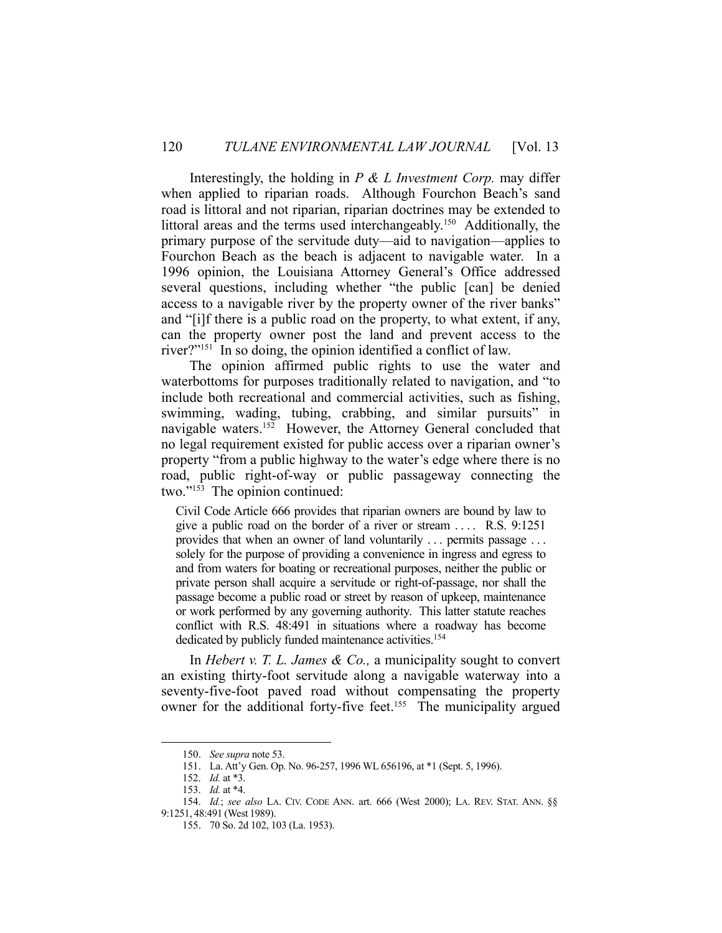Interestingly, the holding in *P & L Investment Corp.* may differ when applied to riparian roads. Although Fourchon Beach's sand road is littoral and not riparian, riparian doctrines may be extended to littoral areas and the terms used interchangeably.<sup>150</sup> Additionally, the primary purpose of the servitude duty—aid to navigation—applies to Fourchon Beach as the beach is adjacent to navigable water. In a 1996 opinion, the Louisiana Attorney General's Office addressed several questions, including whether "the public [can] be denied access to a navigable river by the property owner of the river banks" and "[i]f there is a public road on the property, to what extent, if any, can the property owner post the land and prevent access to the river?"<sup>151</sup> In so doing, the opinion identified a conflict of law.

 The opinion affirmed public rights to use the water and waterbottoms for purposes traditionally related to navigation, and "to include both recreational and commercial activities, such as fishing, swimming, wading, tubing, crabbing, and similar pursuits" in navigable waters.152 However, the Attorney General concluded that no legal requirement existed for public access over a riparian owner's property "from a public highway to the water's edge where there is no road, public right-of-way or public passageway connecting the two."153 The opinion continued:

Civil Code Article 666 provides that riparian owners are bound by law to give a public road on the border of a river or stream . . . . R.S. 9:1251 provides that when an owner of land voluntarily . . . permits passage . . . solely for the purpose of providing a convenience in ingress and egress to and from waters for boating or recreational purposes, neither the public or private person shall acquire a servitude or right-of-passage, nor shall the passage become a public road or street by reason of upkeep, maintenance or work performed by any governing authority. This latter statute reaches conflict with R.S. 48:491 in situations where a roadway has become dedicated by publicly funded maintenance activities.<sup>154</sup>

 In *Hebert v. T. L. James & Co.,* a municipality sought to convert an existing thirty-foot servitude along a navigable waterway into a seventy-five-foot paved road without compensating the property owner for the additional forty-five feet.<sup>155</sup> The municipality argued

 <sup>150.</sup> *See supra* note 53.

 <sup>151.</sup> La. Att'y Gen. Op. No. 96-257, 1996 WL 656196, at \*1 (Sept. 5, 1996).

 <sup>152.</sup> *Id.* at \*3.

 <sup>153.</sup> *Id.* at \*4.

 <sup>154.</sup> *Id.*; *see also* LA. CIV. CODE ANN. art. 666 (West 2000); LA. REV. STAT. ANN. §§ 9:1251, 48:491 (West 1989).

 <sup>155. 70</sup> So. 2d 102, 103 (La. 1953).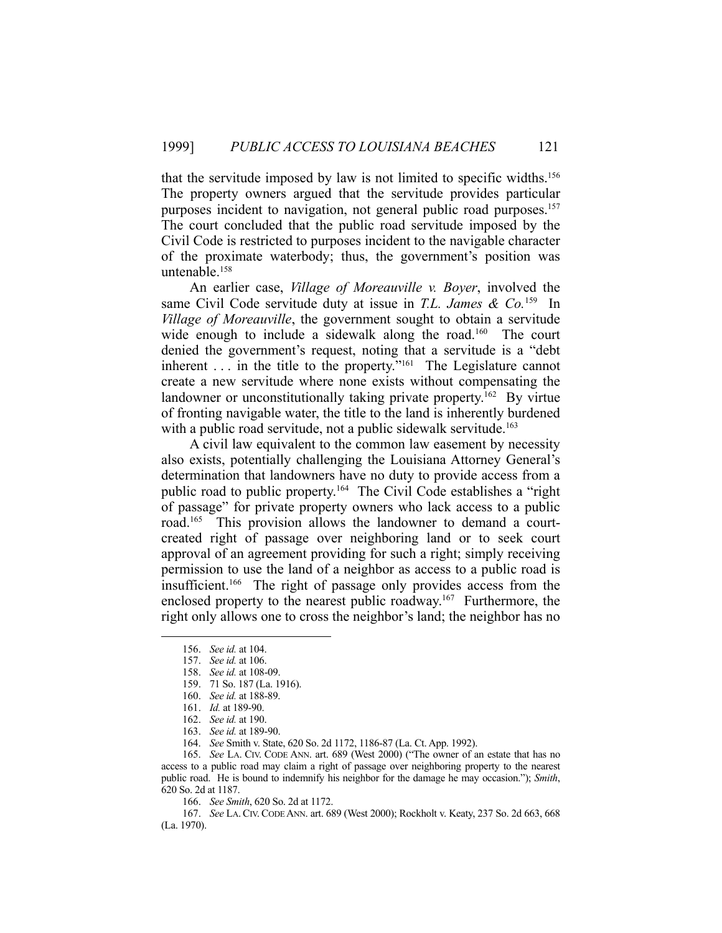that the servitude imposed by law is not limited to specific widths.156 The property owners argued that the servitude provides particular purposes incident to navigation, not general public road purposes.<sup>157</sup> The court concluded that the public road servitude imposed by the Civil Code is restricted to purposes incident to the navigable character of the proximate waterbody; thus, the government's position was untenable.158

 An earlier case, *Village of Moreauville v. Boyer*, involved the same Civil Code servitude duty at issue in *T.L. James & Co.*159 In *Village of Moreauville*, the government sought to obtain a servitude wide enough to include a sidewalk along the road.<sup>160</sup> The court denied the government's request, noting that a servitude is a "debt inherent  $\ldots$  in the title to the property."<sup>161</sup> The Legislature cannot create a new servitude where none exists without compensating the landowner or unconstitutionally taking private property.<sup>162</sup> By virtue of fronting navigable water, the title to the land is inherently burdened with a public road servitude, not a public sidewalk servitude.<sup>163</sup>

 A civil law equivalent to the common law easement by necessity also exists, potentially challenging the Louisiana Attorney General's determination that landowners have no duty to provide access from a public road to public property.164 The Civil Code establishes a "right of passage" for private property owners who lack access to a public road.165 This provision allows the landowner to demand a courtcreated right of passage over neighboring land or to seek court approval of an agreement providing for such a right; simply receiving permission to use the land of a neighbor as access to a public road is insufficient.166 The right of passage only provides access from the enclosed property to the nearest public roadway.<sup>167</sup> Furthermore, the right only allows one to cross the neighbor's land; the neighbor has no

1

 165. *See* LA. CIV. CODE ANN. art. 689 (West 2000) ("The owner of an estate that has no access to a public road may claim a right of passage over neighboring property to the nearest public road. He is bound to indemnify his neighbor for the damage he may occasion."); *Smith*, 620 So. 2d at 1187.

166. *See Smith*, 620 So. 2d at 1172.

 167. *See* LA. CIV. CODE ANN. art. 689 (West 2000); Rockholt v. Keaty, 237 So. 2d 663, 668 (La. 1970).

 <sup>156.</sup> *See id.* at 104.

 <sup>157.</sup> *See id.* at 106.

 <sup>158.</sup> *See id.* at 108-09.

 <sup>159. 71</sup> So. 187 (La. 1916).

 <sup>160.</sup> *See id.* at 188-89.

 <sup>161.</sup> *Id.* at 189-90.

 <sup>162.</sup> *See id.* at 190.

 <sup>163.</sup> *See id.* at 189-90.

 <sup>164.</sup> *See* Smith v. State, 620 So. 2d 1172, 1186-87 (La. Ct. App. 1992).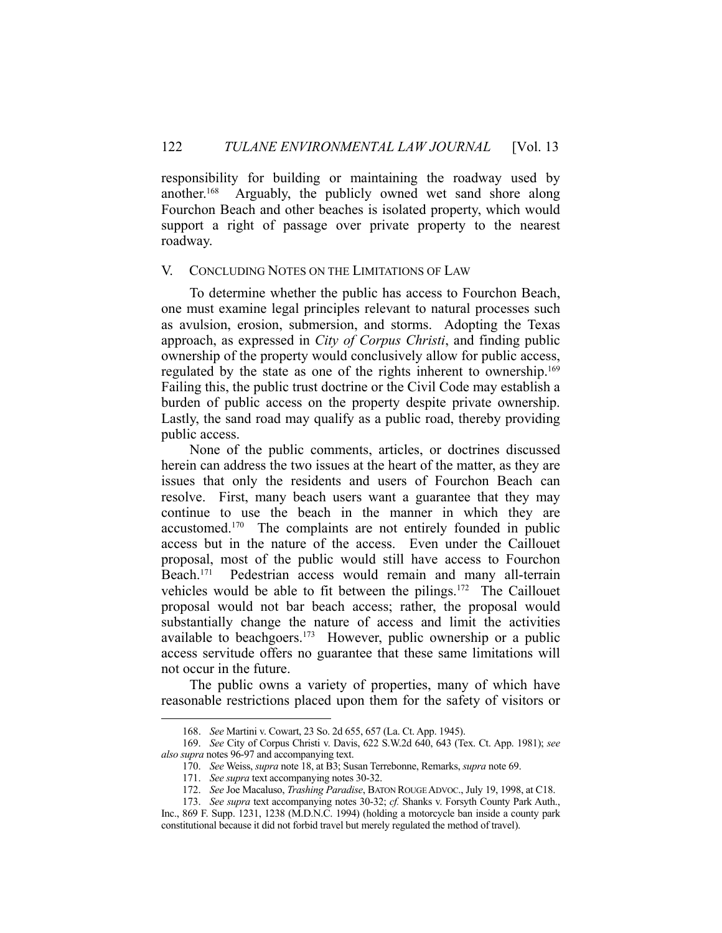responsibility for building or maintaining the roadway used by another.168 Arguably, the publicly owned wet sand shore along Fourchon Beach and other beaches is isolated property, which would support a right of passage over private property to the nearest roadway.

## V. CONCLUDING NOTES ON THE LIMITATIONS OF LAW

 To determine whether the public has access to Fourchon Beach, one must examine legal principles relevant to natural processes such as avulsion, erosion, submersion, and storms. Adopting the Texas approach, as expressed in *City of Corpus Christi*, and finding public ownership of the property would conclusively allow for public access, regulated by the state as one of the rights inherent to ownership.<sup>169</sup> Failing this, the public trust doctrine or the Civil Code may establish a burden of public access on the property despite private ownership. Lastly, the sand road may qualify as a public road, thereby providing public access.

 None of the public comments, articles, or doctrines discussed herein can address the two issues at the heart of the matter, as they are issues that only the residents and users of Fourchon Beach can resolve. First, many beach users want a guarantee that they may continue to use the beach in the manner in which they are accustomed.170 The complaints are not entirely founded in public access but in the nature of the access. Even under the Caillouet proposal, most of the public would still have access to Fourchon Beach.171 Pedestrian access would remain and many all-terrain vehicles would be able to fit between the pilings.<sup>172</sup> The Caillouet proposal would not bar beach access; rather, the proposal would substantially change the nature of access and limit the activities available to beachgoers.<sup>173</sup> However, public ownership or a public access servitude offers no guarantee that these same limitations will not occur in the future.

 The public owns a variety of properties, many of which have reasonable restrictions placed upon them for the safety of visitors or

 <sup>168.</sup> *See* Martini v. Cowart, 23 So. 2d 655, 657 (La. Ct. App. 1945).

 <sup>169.</sup> *See* City of Corpus Christi v. Davis, 622 S.W.2d 640, 643 (Tex. Ct. App. 1981); *see also supra* notes 96-97 and accompanying text.

 <sup>170.</sup> *See* Weiss, *supra* note 18, at B3; Susan Terrebonne, Remarks, *supra* note 69.

 <sup>171.</sup> *See supra* text accompanying notes 30-32.

 <sup>172.</sup> *See* Joe Macaluso, *Trashing Paradise*, BATON ROUGE ADVOC., July 19, 1998, at C18.

 <sup>173.</sup> *See supra* text accompanying notes 30-32; *cf.* Shanks v. Forsyth County Park Auth., Inc., 869 F. Supp. 1231, 1238 (M.D.N.C. 1994) (holding a motorcycle ban inside a county park constitutional because it did not forbid travel but merely regulated the method of travel).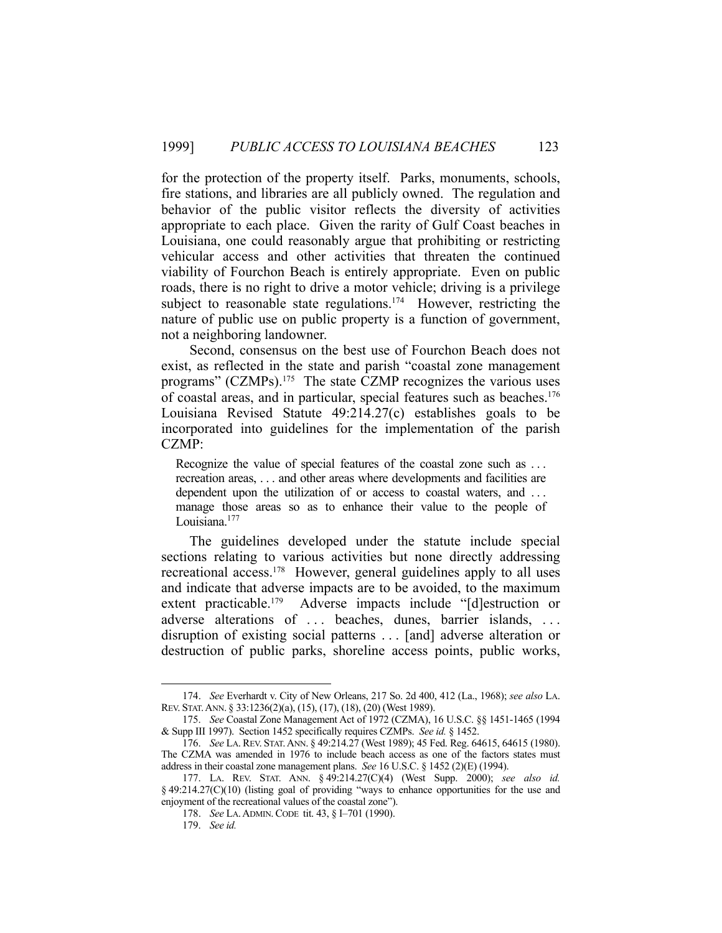for the protection of the property itself. Parks, monuments, schools, fire stations, and libraries are all publicly owned. The regulation and behavior of the public visitor reflects the diversity of activities appropriate to each place. Given the rarity of Gulf Coast beaches in Louisiana, one could reasonably argue that prohibiting or restricting vehicular access and other activities that threaten the continued viability of Fourchon Beach is entirely appropriate. Even on public roads, there is no right to drive a motor vehicle; driving is a privilege subject to reasonable state regulations.<sup>174</sup> However, restricting the nature of public use on public property is a function of government, not a neighboring landowner.

 Second, consensus on the best use of Fourchon Beach does not exist, as reflected in the state and parish "coastal zone management programs" (CZMPs).175 The state CZMP recognizes the various uses of coastal areas, and in particular, special features such as beaches.<sup>176</sup> Louisiana Revised Statute 49:214.27(c) establishes goals to be incorporated into guidelines for the implementation of the parish CZMP:

Recognize the value of special features of the coastal zone such as . . . recreation areas, . . . and other areas where developments and facilities are dependent upon the utilization of or access to coastal waters, and ... manage those areas so as to enhance their value to the people of Louisiana.<sup>177</sup>

 The guidelines developed under the statute include special sections relating to various activities but none directly addressing recreational access.<sup>178</sup> However, general guidelines apply to all uses and indicate that adverse impacts are to be avoided, to the maximum extent practicable.179 Adverse impacts include "[d]estruction or adverse alterations of ... beaches, dunes, barrier islands, ... disruption of existing social patterns . . . [and] adverse alteration or destruction of public parks, shoreline access points, public works,

 <sup>174.</sup> *See* Everhardt v. City of New Orleans, 217 So. 2d 400, 412 (La., 1968); *see also* LA. REV. STAT.ANN. § 33:1236(2)(a), (15), (17), (18), (20) (West 1989).

 <sup>175.</sup> *See* Coastal Zone Management Act of 1972 (CZMA), 16 U.S.C. §§ 1451-1465 (1994 & Supp III 1997). Section 1452 specifically requires CZMPs. *See id.* § 1452.

 <sup>176.</sup> *See* LA. REV. STAT.ANN. § 49:214.27 (West 1989); 45 Fed. Reg. 64615, 64615 (1980). The CZMA was amended in 1976 to include beach access as one of the factors states must address in their coastal zone management plans. *See* 16 U.S.C. § 1452 (2)(E) (1994).

 <sup>177.</sup> LA. REV. STAT. ANN. § 49:214.27(C)(4) (West Supp. 2000); *see also id.* § 49:214.27(C)(10) (listing goal of providing "ways to enhance opportunities for the use and enjoyment of the recreational values of the coastal zone").

 <sup>178.</sup> *See* LA.ADMIN.CODE tit. 43, § I–701 (1990).

 <sup>179.</sup> *See id.*